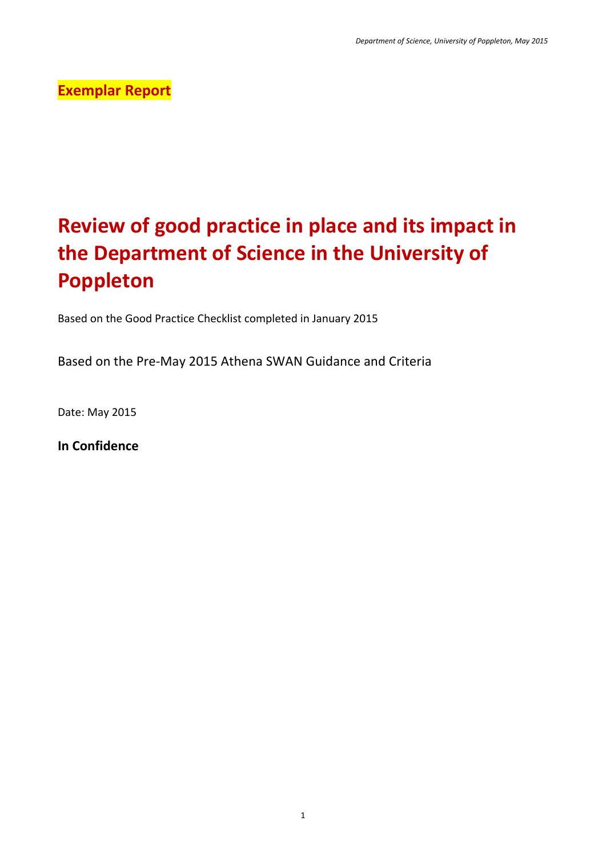## **Exemplar Report**

# **Review of good practice in place and its impact in the Department of Science in the University of Poppleton**

Based on the Good Practice Checklist completed in January 2015

Based on the Pre-May 2015 Athena SWAN Guidance and Criteria

Date: May 2015

**In Confidence**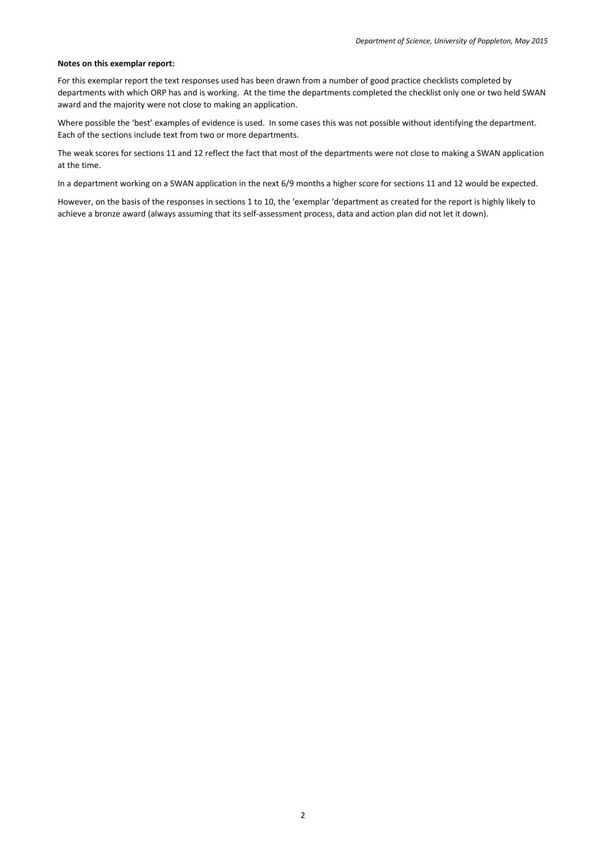#### **Notes on this exemplar report:**

For this exemplar report the text responses used has been drawn from a number of good practice checklists completed by departments with which ORP has and is working. At the time the departments completed the checklist only one or two held SWAN award and the majority were not close to making an application.

Where possible the 'best' examples of evidence is used. In some cases this was not possible without identifying the department. Each of the sections include text from two or more departments.

The weak scores for sections 11 and 12 reflect the fact that most of the departments were not close to making a SWAN application at the time.

In a department working on a SWAN application in the next 6/9 months a higher score for sections 11 and 12 would be expected.

However, on the basis of the responses in sections 1 to 10, the 'exemplar 'department as created for the report is highly likely to achieve a bronze award (always assuming that its self-assessment process, data and action plan did not let it down).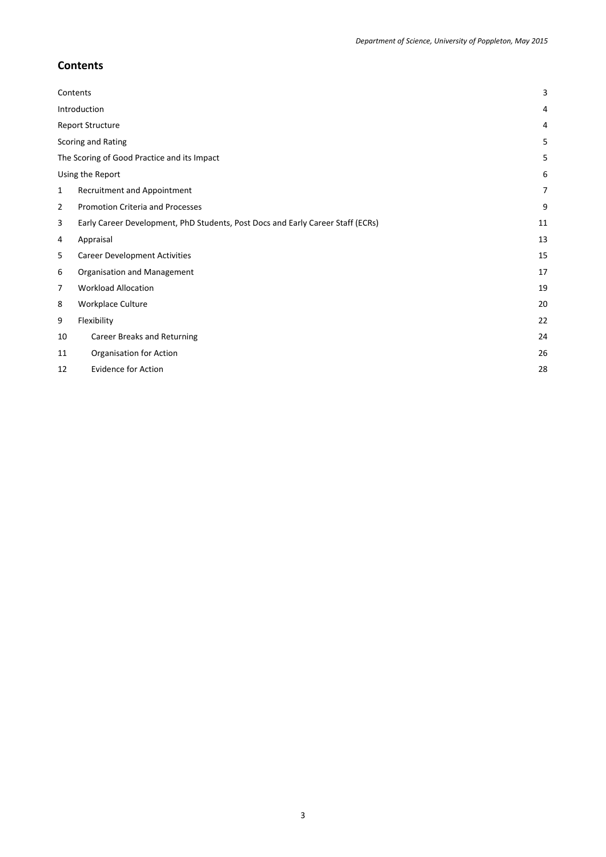## <span id="page-2-0"></span>**Contents**

|              | Contents                                                                        | 3  |
|--------------|---------------------------------------------------------------------------------|----|
|              | Introduction                                                                    | 4  |
|              | Report Structure                                                                | 4  |
|              | Scoring and Rating                                                              | 5  |
|              | The Scoring of Good Practice and its Impact                                     | 5  |
|              | Using the Report                                                                | 6  |
| $\mathbf{1}$ | Recruitment and Appointment                                                     | 7  |
| 2            | <b>Promotion Criteria and Processes</b>                                         | 9  |
| 3            | Early Career Development, PhD Students, Post Docs and Early Career Staff (ECRs) | 11 |
| 4            | Appraisal                                                                       | 13 |
| 5            | <b>Career Development Activities</b>                                            | 15 |
| 6            | Organisation and Management                                                     | 17 |
| 7            | <b>Workload Allocation</b>                                                      | 19 |
| 8            | Workplace Culture                                                               | 20 |
| 9            | Flexibility                                                                     | 22 |
| 10           | Career Breaks and Returning                                                     | 24 |
| 11           | Organisation for Action                                                         | 26 |
| 12           | <b>Evidence for Action</b>                                                      | 28 |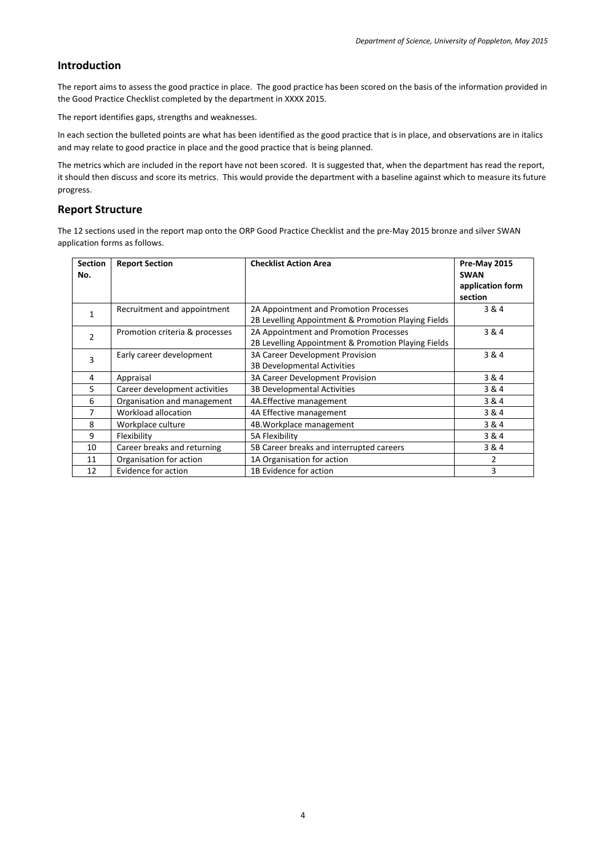## <span id="page-3-0"></span>**Introduction**

The report aims to assess the good practice in place. The good practice has been scored on the basis of the information provided in the Good Practice Checklist completed by the department in XXXX 2015.

The report identifies gaps, strengths and weaknesses.

In each section the bulleted points are what has been identified as the good practice that is in place, and observations are in italics and may relate to good practice in place and the good practice that is being planned.

The metrics which are included in the report have not been scored. It is suggested that, when the department has read the report, it should then discuss and score its metrics. This would provide the department with a baseline against which to measure its future progress.

## <span id="page-3-1"></span>**Report Structure**

The 12 sections used in the report map onto the ORP Good Practice Checklist and the pre-May 2015 bronze and silver SWAN application forms as follows.

| <b>Section</b><br>No. | <b>Report Section</b>          | <b>Checklist Action Area</b>                                                                  | Pre-May 2015<br><b>SWAN</b><br>application form<br>section |
|-----------------------|--------------------------------|-----------------------------------------------------------------------------------------------|------------------------------------------------------------|
| 1                     | Recruitment and appointment    | 2A Appointment and Promotion Processes<br>2B Levelling Appointment & Promotion Playing Fields | 3&4                                                        |
| 2                     | Promotion criteria & processes | 2A Appointment and Promotion Processes<br>2B Levelling Appointment & Promotion Playing Fields | 3 & 4                                                      |
| 3                     | Early career development       | 3A Career Development Provision<br>3B Developmental Activities                                | 3&4                                                        |
| 4                     | Appraisal                      | 3A Career Development Provision                                                               | 3&4                                                        |
| 5                     | Career development activities  | 3B Developmental Activities                                                                   | 3 & 4                                                      |
| 6                     | Organisation and management    | 4A.Effective management                                                                       | 3&4                                                        |
| 7                     | Workload allocation            | 4A Effective management                                                                       | 3&4                                                        |
| 8                     | Workplace culture              | 4B. Workplace management                                                                      | 3&4                                                        |
| 9                     | Flexibility                    | 5A Flexibility                                                                                | 3&4                                                        |
| 10                    | Career breaks and returning    | 5B Career breaks and interrupted careers                                                      | 3&4                                                        |
| 11                    | Organisation for action        | 1A Organisation for action                                                                    | 2                                                          |
| 12                    | Evidence for action            | 1B Evidence for action                                                                        | 3                                                          |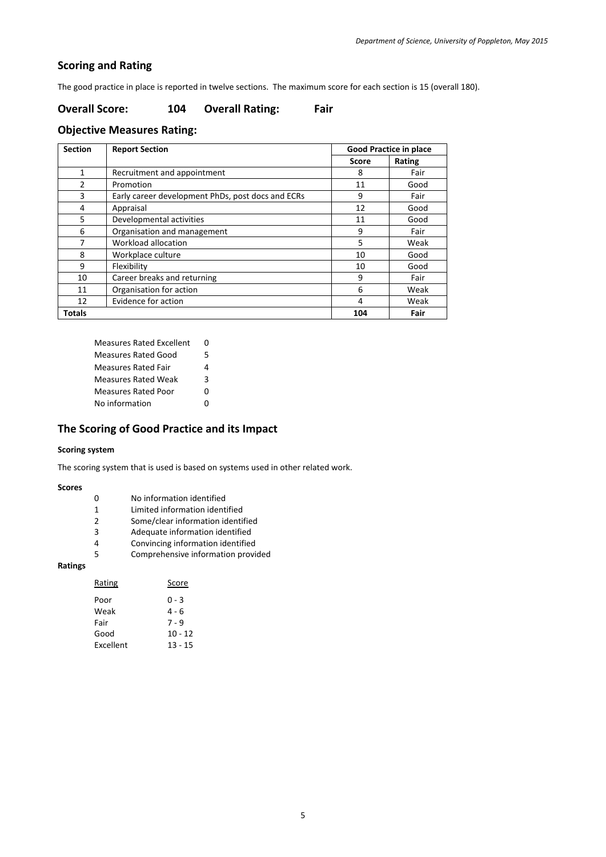## <span id="page-4-0"></span>**Scoring and Rating**

The good practice in place is reported in twelve sections. The maximum score for each section is 15 (overall 180).

## **Overall Score: 104 Overall Rating: Fair**

## **Objective Measures Rating:**

| <b>Section</b> | <b>Report Section</b>                             | <b>Good Practice in place</b> |        |
|----------------|---------------------------------------------------|-------------------------------|--------|
|                |                                                   | Score                         | Rating |
| 1              | Recruitment and appointment                       | 8                             | Fair   |
| $\mathcal{P}$  | Promotion                                         | 11                            | Good   |
| 3              | Early career development PhDs, post docs and ECRs | q                             | Fair   |
| 4              | Appraisal                                         | 12                            | Good   |
| 5              | Developmental activities                          | 11                            | Good   |
| 6              | Organisation and management                       | 9                             | Fair   |
| 7              | Workload allocation                               | 5                             | Weak   |
| 8              | Workplace culture                                 | 10                            | Good   |
| q              | Flexibility                                       | 10                            | Good   |
| 10             | Career breaks and returning                       | 9                             | Fair   |
| 11             | Organisation for action                           | 6                             | Weak   |
| 12             | Evidence for action                               | 4                             | Weak   |
| Totals         |                                                   | 104                           | Fair   |

| <b>Measures Rated Excellent</b> | n |
|---------------------------------|---|
| Measures Rated Good             | 5 |
| Measures Rated Fair             | 4 |
| <b>Measures Rated Weak</b>      | 3 |
| <b>Measures Rated Poor</b>      | O |
| No information                  | ŋ |

## <span id="page-4-1"></span>**The Scoring of Good Practice and its Impact**

#### **Scoring system**

The scoring system that is used is based on systems used in other related work.

#### **Scores**

- 0 No information identified<br>1 Limited information identi
- Limited information identified
- 2 Some/clear information identified<br>3 Adequate information identified
- 3 Adequate information identified<br>4 Convincing information identified
- Convincing information identified
- 5 Comprehensive information provided

## **Ratings**

| Rating    | Score     |
|-----------|-----------|
| Poor      | በ - 3     |
| Weak      | 4 - 6     |
| Fair      | 7 - 9     |
| Good      | $10 - 12$ |
| Excellent | 13 - 15   |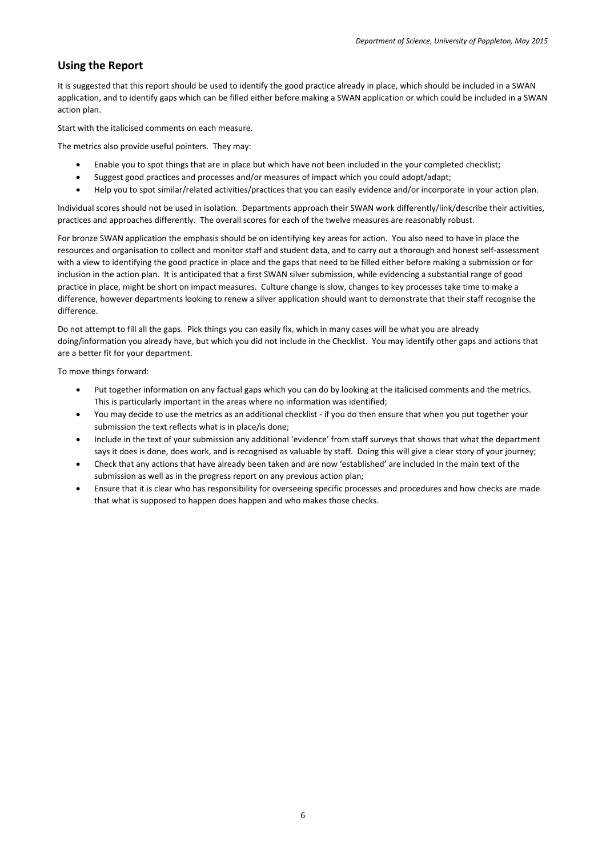## <span id="page-5-0"></span>**Using the Report**

It is suggested that this report should be used to identify the good practice already in place, which should be included in a SWAN application, and to identify gaps which can be filled either before making a SWAN application or which could be included in a SWAN action plan.

Start with the italicised comments on each measure.

The metrics also provide useful pointers. They may:

- Enable you to spot things that are in place but which have not been included in the your completed checklist;
- Suggest good practices and processes and/or measures of impact which you could adopt/adapt;
- Help you to spot similar/related activities/practices that you can easily evidence and/or incorporate in your action plan.

Individual scores should not be used in isolation. Departments approach their SWAN work differently/link/describe their activities, practices and approaches differently. The overall scores for each of the twelve measures are reasonably robust.

For bronze SWAN application the emphasis should be on identifying key areas for action. You also need to have in place the resources and organisation to collect and monitor staff and student data, and to carry out a thorough and honest self-assessment with a view to identifying the good practice in place and the gaps that need to be filled either before making a submission or for inclusion in the action plan. It is anticipated that a first SWAN silver submission, while evidencing a substantial range of good practice in place, might be short on impact measures. Culture change is slow, changes to key processes take time to make a difference, however departments looking to renew a silver application should want to demonstrate that their staff recognise the difference.

Do not attempt to fill all the gaps. Pick things you can easily fix, which in many cases will be what you are already doing/information you already have, but which you did not include in the Checklist. You may identify other gaps and actions that are a better fit for your department.

To move things forward:

- Put together information on any factual gaps which you can do by looking at the italicised comments and the metrics. This is particularly important in the areas where no information was identified;
- You may decide to use the metrics as an additional checklist if you do then ensure that when you put together your submission the text reflects what is in place/is done;
- Include in the text of your submission any additional 'evidence' from staff surveys that shows that what the department says it does is done, does work, and is recognised as valuable by staff. Doing this will give a clear story of your journey;
- Check that any actions that have already been taken and are now 'established' are included in the main text of the submission as well as in the progress report on any previous action plan;
- Ensure that it is clear who has responsibility for overseeing specific processes and procedures and how checks are made that what is supposed to happen does happen and who makes those checks.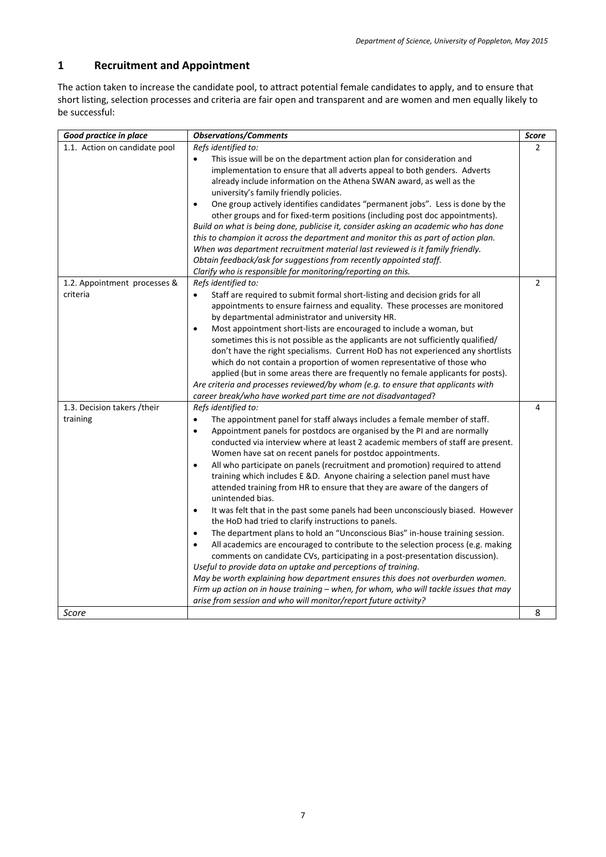## <span id="page-6-0"></span>**1 Recruitment and Appointment**

The action taken to increase the candidate pool, to attract potential female candidates to apply, and to ensure that short listing, selection processes and criteria are fair open and transparent and are women and men equally likely to be successful:

| Good practice in place                   | <b>Observations/Comments</b>                                                                                                                                                                                                                                                                                                                                                                                                                                                                                                                                                                                                                                                                                                                                                                                                                                                                                                                                                                                                                                                                                                                                                                                                                                                                                                                                  | <b>Score</b> |
|------------------------------------------|---------------------------------------------------------------------------------------------------------------------------------------------------------------------------------------------------------------------------------------------------------------------------------------------------------------------------------------------------------------------------------------------------------------------------------------------------------------------------------------------------------------------------------------------------------------------------------------------------------------------------------------------------------------------------------------------------------------------------------------------------------------------------------------------------------------------------------------------------------------------------------------------------------------------------------------------------------------------------------------------------------------------------------------------------------------------------------------------------------------------------------------------------------------------------------------------------------------------------------------------------------------------------------------------------------------------------------------------------------------|--------------|
| 1.1. Action on candidate pool            | Refs identified to:<br>This issue will be on the department action plan for consideration and<br>implementation to ensure that all adverts appeal to both genders. Adverts<br>already include information on the Athena SWAN award, as well as the<br>university's family friendly policies.<br>One group actively identifies candidates "permanent jobs". Less is done by the<br>other groups and for fixed-term positions (including post doc appointments).<br>Build on what is being done, publicise it, consider asking an academic who has done<br>this to champion it across the department and monitor this as part of action plan.<br>When was department recruitment material last reviewed is it family friendly.<br>Obtain feedback/ask for suggestions from recently appointed staff.<br>Clarify who is responsible for monitoring/reporting on this.                                                                                                                                                                                                                                                                                                                                                                                                                                                                                            | 2            |
| 1.2. Appointment processes &<br>criteria | Refs identified to:<br>Staff are required to submit formal short-listing and decision grids for all<br>$\bullet$<br>appointments to ensure fairness and equality. These processes are monitored<br>by departmental administrator and university HR.<br>Most appointment short-lists are encouraged to include a woman, but<br>$\bullet$<br>sometimes this is not possible as the applicants are not sufficiently qualified/<br>don't have the right specialisms. Current HoD has not experienced any shortlists<br>which do not contain a proportion of women representative of those who<br>applied (but in some areas there are frequently no female applicants for posts).<br>Are criteria and processes reviewed/by whom (e.g. to ensure that applicants with<br>career break/who have worked part time are not disadvantaged?                                                                                                                                                                                                                                                                                                                                                                                                                                                                                                                            | 2            |
| 1.3. Decision takers /their<br>training  | Refs identified to:<br>The appointment panel for staff always includes a female member of staff.<br>Appointment panels for postdocs are organised by the PI and are normally<br>$\bullet$<br>conducted via interview where at least 2 academic members of staff are present.<br>Women have sat on recent panels for postdoc appointments.<br>All who participate on panels (recruitment and promotion) required to attend<br>$\bullet$<br>training which includes E &D. Anyone chairing a selection panel must have<br>attended training from HR to ensure that they are aware of the dangers of<br>unintended bias.<br>It was felt that in the past some panels had been unconsciously biased. However<br>$\bullet$<br>the HoD had tried to clarify instructions to panels.<br>The department plans to hold an "Unconscious Bias" in-house training session.<br>All academics are encouraged to contribute to the selection process (e.g. making<br>$\bullet$<br>comments on candidate CVs, participating in a post-presentation discussion).<br>Useful to provide data on uptake and perceptions of training.<br>May be worth explaining how department ensures this does not overburden women.<br>Firm up action on in house training - when, for whom, who will tackle issues that may<br>arise from session and who will monitor/report future activity? | 4            |
| Score                                    |                                                                                                                                                                                                                                                                                                                                                                                                                                                                                                                                                                                                                                                                                                                                                                                                                                                                                                                                                                                                                                                                                                                                                                                                                                                                                                                                                               | 8            |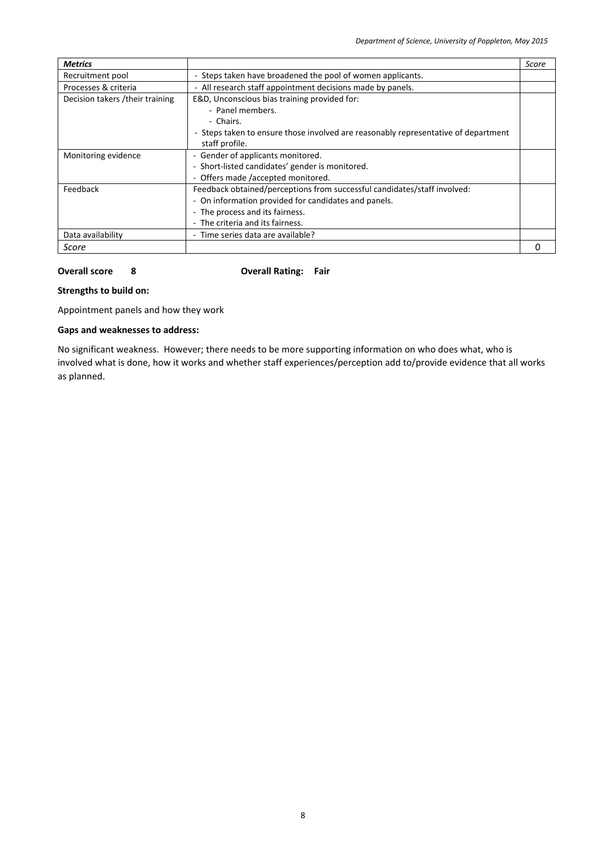| <b>Metrics</b>                   |                                                                                    | Score |
|----------------------------------|------------------------------------------------------------------------------------|-------|
| Recruitment pool                 | - Steps taken have broadened the pool of women applicants.                         |       |
| Processes & criteria             | - All research staff appointment decisions made by panels.                         |       |
| Decision takers / their training | E&D, Unconscious bias training provided for:                                       |       |
|                                  | - Panel members.                                                                   |       |
|                                  | - Chairs.                                                                          |       |
|                                  | - Steps taken to ensure those involved are reasonably representative of department |       |
|                                  | staff profile.                                                                     |       |
| Monitoring evidence              | - Gender of applicants monitored.                                                  |       |
|                                  | - Short-listed candidates' gender is monitored.                                    |       |
|                                  | - Offers made /accepted monitored.                                                 |       |
| Feedback                         | Feedback obtained/perceptions from successful candidates/staff involved:           |       |
|                                  | - On information provided for candidates and panels.                               |       |
|                                  | - The process and its fairness.                                                    |       |
|                                  | - The criteria and its fairness.                                                   |       |
| Data availability                | - Time series data are available?                                                  |       |
| Score                            |                                                                                    |       |

**Overall score 8 Overall Rating: Fair**

## **Strengths to build on:**

Appointment panels and how they work

## **Gaps and weaknesses to address:**

No significant weakness. However; there needs to be more supporting information on who does what, who is involved what is done, how it works and whether staff experiences/perception add to/provide evidence that all works as planned.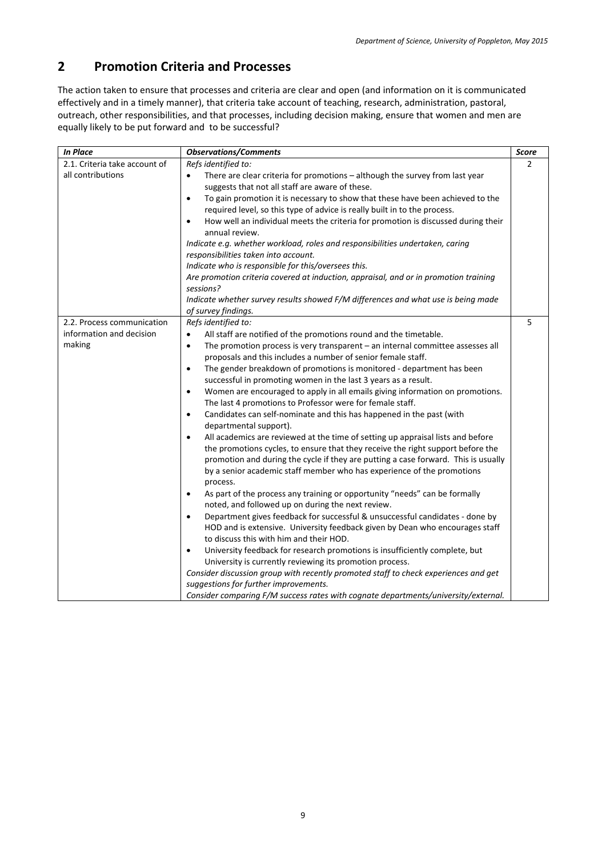## <span id="page-8-0"></span>**2 Promotion Criteria and Processes**

The action taken to ensure that processes and criteria are clear and open (and information on it is communicated effectively and in a timely manner), that criteria take account of teaching, research, administration, pastoral, outreach, other responsibilities, and that processes, including decision making, ensure that women and men are equally likely to be put forward and to be successful?

| <b>In Place</b>               | <b>Observations/Comments</b>                                                                                                                                                                                                                                                                                                                                | Score |
|-------------------------------|-------------------------------------------------------------------------------------------------------------------------------------------------------------------------------------------------------------------------------------------------------------------------------------------------------------------------------------------------------------|-------|
| 2.1. Criteria take account of | Refs identified to:                                                                                                                                                                                                                                                                                                                                         | 2     |
| all contributions             | There are clear criteria for promotions - although the survey from last year                                                                                                                                                                                                                                                                                |       |
|                               | suggests that not all staff are aware of these.                                                                                                                                                                                                                                                                                                             |       |
|                               | To gain promotion it is necessary to show that these have been achieved to the<br>$\bullet$                                                                                                                                                                                                                                                                 |       |
|                               | required level, so this type of advice is really built in to the process.                                                                                                                                                                                                                                                                                   |       |
|                               | How well an individual meets the criteria for promotion is discussed during their<br>$\bullet$<br>annual review.                                                                                                                                                                                                                                            |       |
|                               | Indicate e.g. whether workload, roles and responsibilities undertaken, caring                                                                                                                                                                                                                                                                               |       |
|                               | responsibilities taken into account.                                                                                                                                                                                                                                                                                                                        |       |
|                               | Indicate who is responsible for this/oversees this.                                                                                                                                                                                                                                                                                                         |       |
|                               | Are promotion criteria covered at induction, appraisal, and or in promotion training                                                                                                                                                                                                                                                                        |       |
|                               | sessions?                                                                                                                                                                                                                                                                                                                                                   |       |
|                               | Indicate whether survey results showed F/M differences and what use is being made<br>of survey findings.                                                                                                                                                                                                                                                    |       |
| 2.2. Process communication    | Refs identified to:                                                                                                                                                                                                                                                                                                                                         | 5     |
| information and decision      | All staff are notified of the promotions round and the timetable.                                                                                                                                                                                                                                                                                           |       |
| making                        | The promotion process is very transparent $-$ an internal committee assesses all<br>$\bullet$<br>proposals and this includes a number of senior female staff.                                                                                                                                                                                               |       |
|                               | The gender breakdown of promotions is monitored - department has been<br>$\bullet$<br>successful in promoting women in the last 3 years as a result.                                                                                                                                                                                                        |       |
|                               | Women are encouraged to apply in all emails giving information on promotions.<br>$\bullet$<br>The last 4 promotions to Professor were for female staff.                                                                                                                                                                                                     |       |
|                               | Candidates can self-nominate and this has happened in the past (with<br>$\bullet$<br>departmental support).                                                                                                                                                                                                                                                 |       |
|                               | All academics are reviewed at the time of setting up appraisal lists and before<br>$\bullet$<br>the promotions cycles, to ensure that they receive the right support before the<br>promotion and during the cycle if they are putting a case forward. This is usually<br>by a senior academic staff member who has experience of the promotions<br>process. |       |
|                               | As part of the process any training or opportunity "needs" can be formally<br>$\bullet$<br>noted, and followed up on during the next review.                                                                                                                                                                                                                |       |
|                               | Department gives feedback for successful & unsuccessful candidates - done by<br>HOD and is extensive. University feedback given by Dean who encourages staff<br>to discuss this with him and their HOD.                                                                                                                                                     |       |
|                               | University feedback for research promotions is insufficiently complete, but<br>$\bullet$<br>University is currently reviewing its promotion process.                                                                                                                                                                                                        |       |
|                               | Consider discussion group with recently promoted staff to check experiences and get<br>suggestions for further improvements.                                                                                                                                                                                                                                |       |
|                               | Consider comparing F/M success rates with cognate departments/university/external.                                                                                                                                                                                                                                                                          |       |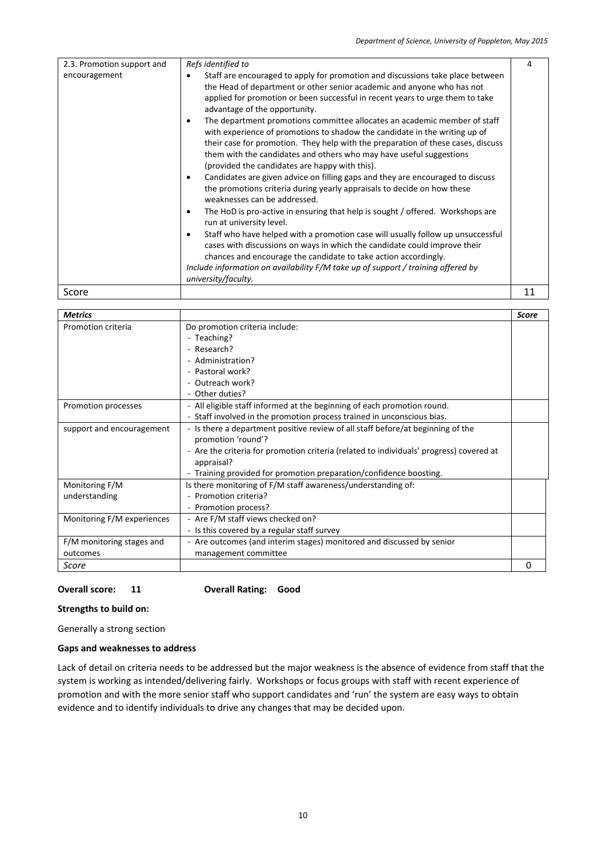| 2.3. Promotion support and | Refs identified to                                                                                                                                                                                                                                                                                                                                                        | 4  |
|----------------------------|---------------------------------------------------------------------------------------------------------------------------------------------------------------------------------------------------------------------------------------------------------------------------------------------------------------------------------------------------------------------------|----|
| encouragement              | Staff are encouraged to apply for promotion and discussions take place between<br>$\bullet$                                                                                                                                                                                                                                                                               |    |
|                            | the Head of department or other senior academic and anyone who has not                                                                                                                                                                                                                                                                                                    |    |
|                            | applied for promotion or been successful in recent years to urge them to take<br>advantage of the opportunity.                                                                                                                                                                                                                                                            |    |
|                            | The department promotions committee allocates an academic member of staff<br>٠<br>with experience of promotions to shadow the candidate in the writing up of<br>their case for promotion. They help with the preparation of these cases, discuss<br>them with the candidates and others who may have useful suggestions<br>(provided the candidates are happy with this). |    |
|                            | Candidates are given advice on filling gaps and they are encouraged to discuss<br>$\bullet$<br>the promotions criteria during yearly appraisals to decide on how these<br>weaknesses can be addressed.                                                                                                                                                                    |    |
|                            | The HoD is pro-active in ensuring that help is sought / offered. Workshops are<br>٠<br>run at university level.                                                                                                                                                                                                                                                           |    |
|                            | Staff who have helped with a promotion case will usually follow up unsuccessful<br>٠<br>cases with discussions on ways in which the candidate could improve their<br>chances and encourage the candidate to take action accordingly.<br>Include information on availability F/M take up of support / training offered by<br>university/faculty.                           |    |
| Score                      |                                                                                                                                                                                                                                                                                                                                                                           | 11 |

| <b>Metrics</b>             |                                                                                         | <b>Score</b> |
|----------------------------|-----------------------------------------------------------------------------------------|--------------|
| Promotion criteria         | Do promotion criteria include:                                                          |              |
|                            | - Teaching?                                                                             |              |
|                            | - Research?                                                                             |              |
|                            | - Administration?                                                                       |              |
|                            | - Pastoral work?                                                                        |              |
|                            | - Outreach work?                                                                        |              |
|                            | - Other duties?                                                                         |              |
| Promotion processes        | - All eligible staff informed at the beginning of each promotion round.                 |              |
|                            | - Staff involved in the promotion process trained in unconscious bias.                  |              |
| support and encouragement  | - Is there a department positive review of all staff before/at beginning of the         |              |
|                            | promotion 'round'?                                                                      |              |
|                            | - Are the criteria for promotion criteria (related to individuals' progress) covered at |              |
|                            | appraisal?                                                                              |              |
|                            | - Training provided for promotion preparation/confidence boosting.                      |              |
| Monitoring F/M             | Is there monitoring of F/M staff awareness/understanding of:                            |              |
| understanding              | - Promotion criteria?                                                                   |              |
|                            | - Promotion process?                                                                    |              |
| Monitoring F/M experiences | - Are F/M staff views checked on?                                                       |              |
|                            | - Is this covered by a regular staff survey                                             |              |
| F/M monitoring stages and  | - Are outcomes (and interim stages) monitored and discussed by senior                   |              |
| outcomes                   | management committee                                                                    |              |
| Score                      |                                                                                         | 0            |

## **Overall score: 11 Overall Rating: Good**

## **Strengths to build on:**

Generally a strong section

### **Gaps and weaknesses to address**

Lack of detail on criteria needs to be addressed but the major weakness is the absence of evidence from staff that the system is working as intended/delivering fairly. Workshops or focus groups with staff with recent experience of promotion and with the more senior staff who support candidates and 'run' the system are easy ways to obtain evidence and to identify individuals to drive any changes that may be decided upon.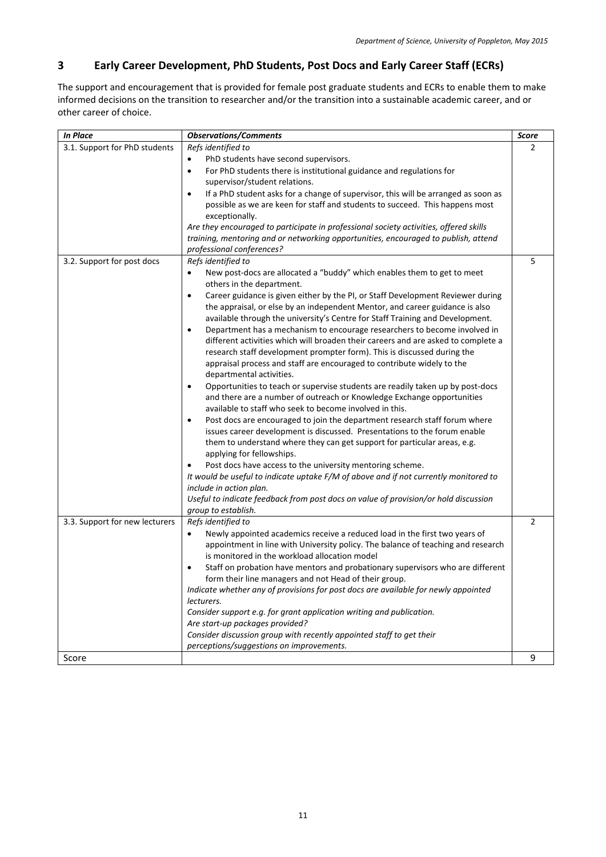## <span id="page-10-0"></span>**3 Early Career Development, PhD Students, Post Docs and Early Career Staff (ECRs)**

The support and encouragement that is provided for female post graduate students and ECRs to enable them to make informed decisions on the transition to researcher and/or the transition into a sustainable academic career, and or other career of choice.

| <b>In Place</b>                | <b>Observations/Comments</b>                                                                                                                                                                                                                                                                                                                                 | Score          |
|--------------------------------|--------------------------------------------------------------------------------------------------------------------------------------------------------------------------------------------------------------------------------------------------------------------------------------------------------------------------------------------------------------|----------------|
| 3.1. Support for PhD students  | Refs identified to                                                                                                                                                                                                                                                                                                                                           | 2              |
|                                | PhD students have second supervisors.<br>$\bullet$                                                                                                                                                                                                                                                                                                           |                |
|                                | For PhD students there is institutional guidance and regulations for<br>$\bullet$                                                                                                                                                                                                                                                                            |                |
|                                | supervisor/student relations.                                                                                                                                                                                                                                                                                                                                |                |
|                                | If a PhD student asks for a change of supervisor, this will be arranged as soon as<br>$\bullet$                                                                                                                                                                                                                                                              |                |
|                                | possible as we are keen for staff and students to succeed. This happens most                                                                                                                                                                                                                                                                                 |                |
|                                | exceptionally.                                                                                                                                                                                                                                                                                                                                               |                |
|                                | Are they encouraged to participate in professional society activities, offered skills                                                                                                                                                                                                                                                                        |                |
|                                | training, mentoring and or networking opportunities, encouraged to publish, attend                                                                                                                                                                                                                                                                           |                |
|                                | professional conferences?                                                                                                                                                                                                                                                                                                                                    |                |
| 3.2. Support for post docs     | Refs identified to                                                                                                                                                                                                                                                                                                                                           | 5              |
|                                | New post-docs are allocated a "buddy" which enables them to get to meet<br>others in the department.                                                                                                                                                                                                                                                         |                |
|                                | Career guidance is given either by the PI, or Staff Development Reviewer during<br>$\bullet$<br>the appraisal, or else by an independent Mentor, and career guidance is also<br>available through the university's Centre for Staff Training and Development.                                                                                                |                |
|                                | Department has a mechanism to encourage researchers to become involved in<br>$\bullet$<br>different activities which will broaden their careers and are asked to complete a<br>research staff development prompter form). This is discussed during the<br>appraisal process and staff are encouraged to contribute widely to the<br>departmental activities. |                |
|                                | Opportunities to teach or supervise students are readily taken up by post-docs<br>$\bullet$<br>and there are a number of outreach or Knowledge Exchange opportunities<br>available to staff who seek to become involved in this.                                                                                                                             |                |
|                                | Post docs are encouraged to join the department research staff forum where<br>$\bullet$<br>issues career development is discussed. Presentations to the forum enable<br>them to understand where they can get support for particular areas, e.g.<br>applying for fellowships.                                                                                |                |
|                                | Post docs have access to the university mentoring scheme.<br>$\bullet$                                                                                                                                                                                                                                                                                       |                |
|                                | It would be useful to indicate uptake F/M of above and if not currently monitored to                                                                                                                                                                                                                                                                         |                |
|                                | include in action plan.                                                                                                                                                                                                                                                                                                                                      |                |
|                                | Useful to indicate feedback from post docs on value of provision/or hold discussion<br>group to establish.                                                                                                                                                                                                                                                   |                |
| 3.3. Support for new lecturers | Refs identified to                                                                                                                                                                                                                                                                                                                                           | $\overline{2}$ |
|                                | Newly appointed academics receive a reduced load in the first two years of<br>$\bullet$<br>appointment in line with University policy. The balance of teaching and research<br>is monitored in the workload allocation model                                                                                                                                 |                |
|                                | Staff on probation have mentors and probationary supervisors who are different<br>$\bullet$                                                                                                                                                                                                                                                                  |                |
|                                | form their line managers and not Head of their group.                                                                                                                                                                                                                                                                                                        |                |
|                                | Indicate whether any of provisions for post docs are available for newly appointed                                                                                                                                                                                                                                                                           |                |
|                                | lecturers.                                                                                                                                                                                                                                                                                                                                                   |                |
|                                | Consider support e.g. for grant application writing and publication.                                                                                                                                                                                                                                                                                         |                |
|                                | Are start-up packages provided?                                                                                                                                                                                                                                                                                                                              |                |
|                                | Consider discussion group with recently appointed staff to get their                                                                                                                                                                                                                                                                                         |                |
|                                | perceptions/suggestions on improvements.                                                                                                                                                                                                                                                                                                                     |                |
| Score                          |                                                                                                                                                                                                                                                                                                                                                              | 9              |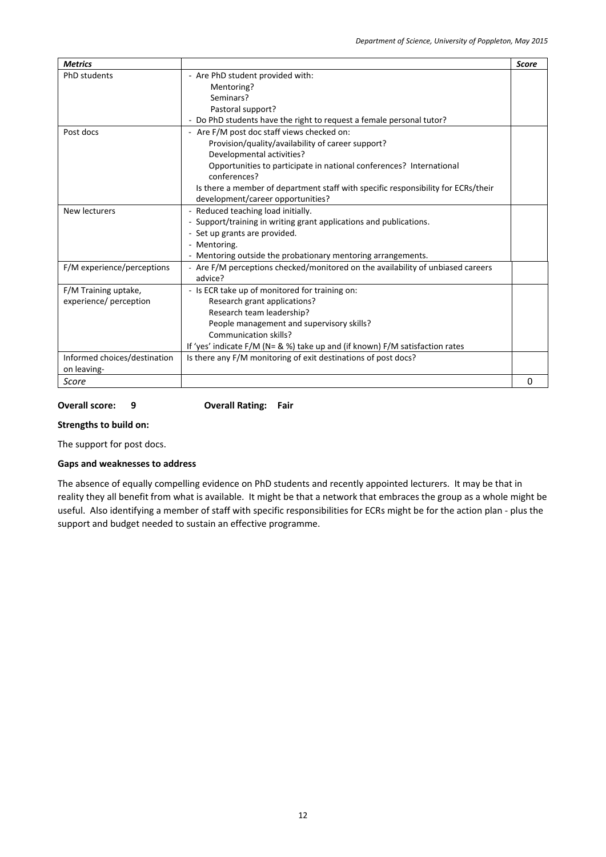| <b>Metrics</b>               |                                                                                   | <b>Score</b> |
|------------------------------|-----------------------------------------------------------------------------------|--------------|
| <b>PhD</b> students          | - Are PhD student provided with:                                                  |              |
|                              | Mentoring?                                                                        |              |
|                              | Seminars?                                                                         |              |
|                              | Pastoral support?                                                                 |              |
|                              | - Do PhD students have the right to request a female personal tutor?              |              |
| Post docs                    | - Are F/M post doc staff views checked on:                                        |              |
|                              | Provision/quality/availability of career support?                                 |              |
|                              | Developmental activities?                                                         |              |
|                              | Opportunities to participate in national conferences? International               |              |
|                              | conferences?                                                                      |              |
|                              | Is there a member of department staff with specific responsibility for ECRs/their |              |
|                              | development/career opportunities?                                                 |              |
| New lecturers                | - Reduced teaching load initially.                                                |              |
|                              | - Support/training in writing grant applications and publications.                |              |
|                              | - Set up grants are provided.                                                     |              |
|                              | - Mentoring.                                                                      |              |
|                              | - Mentoring outside the probationary mentoring arrangements.                      |              |
| F/M experience/perceptions   | - Are F/M perceptions checked/monitored on the availability of unbiased careers   |              |
|                              | advice?                                                                           |              |
| F/M Training uptake,         | - Is ECR take up of monitored for training on:                                    |              |
| experience/ perception       | Research grant applications?                                                      |              |
|                              | Research team leadership?                                                         |              |
|                              | People management and supervisory skills?                                         |              |
|                              | Communication skills?                                                             |              |
|                              | If 'yes' indicate F/M (N= & %) take up and (if known) F/M satisfaction rates      |              |
| Informed choices/destination | Is there any F/M monitoring of exit destinations of post docs?                    |              |
| on leaving-                  |                                                                                   |              |
| Score                        |                                                                                   | 0            |

## **Overall score: 9 Overall Rating: Fair**

## **Strengths to build on:**

The support for post docs.

#### **Gaps and weaknesses to address**

The absence of equally compelling evidence on PhD students and recently appointed lecturers. It may be that in reality they all benefit from what is available. It might be that a network that embraces the group as a whole might be useful. Also identifying a member of staff with specific responsibilities for ECRs might be for the action plan - plus the support and budget needed to sustain an effective programme.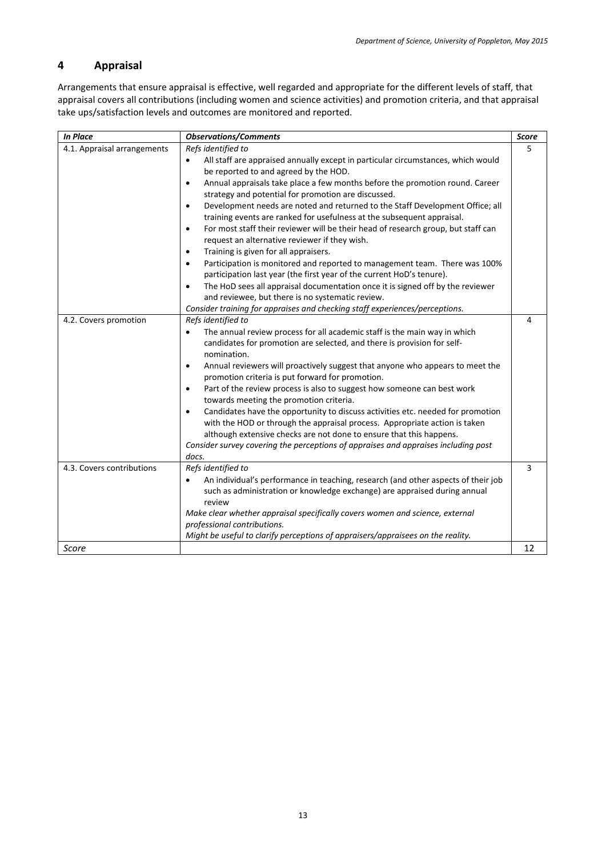## <span id="page-12-0"></span>**4 Appraisal**

Arrangements that ensure appraisal is effective, well regarded and appropriate for the different levels of staff, that appraisal covers all contributions (including women and science activities) and promotion criteria, and that appraisal take ups/satisfaction levels and outcomes are monitored and reported.

| <b>In Place</b>             | <b>Observations/Comments</b>                                                                                                                                                                                                                                                                                                                                                                                                                                                                                                                                                                                                                                                                                                                                                                                                                                                                                                                                                                                             | Score |
|-----------------------------|--------------------------------------------------------------------------------------------------------------------------------------------------------------------------------------------------------------------------------------------------------------------------------------------------------------------------------------------------------------------------------------------------------------------------------------------------------------------------------------------------------------------------------------------------------------------------------------------------------------------------------------------------------------------------------------------------------------------------------------------------------------------------------------------------------------------------------------------------------------------------------------------------------------------------------------------------------------------------------------------------------------------------|-------|
| 4.1. Appraisal arrangements | Refs identified to<br>All staff are appraised annually except in particular circumstances, which would<br>$\bullet$<br>be reported to and agreed by the HOD.<br>Annual appraisals take place a few months before the promotion round. Career<br>$\bullet$<br>strategy and potential for promotion are discussed.<br>Development needs are noted and returned to the Staff Development Office; all<br>$\bullet$<br>training events are ranked for usefulness at the subsequent appraisal.<br>For most staff their reviewer will be their head of research group, but staff can<br>$\bullet$<br>request an alternative reviewer if they wish.<br>Training is given for all appraisers.<br>$\bullet$<br>Participation is monitored and reported to management team. There was 100%<br>$\bullet$<br>participation last year (the first year of the current HoD's tenure).<br>The HoD sees all appraisal documentation once it is signed off by the reviewer<br>$\bullet$<br>and reviewee, but there is no systematic review. | 5     |
|                             | Consider training for appraises and checking staff experiences/perceptions.                                                                                                                                                                                                                                                                                                                                                                                                                                                                                                                                                                                                                                                                                                                                                                                                                                                                                                                                              |       |
| 4.2. Covers promotion       | Refs identified to<br>The annual review process for all academic staff is the main way in which<br>$\bullet$<br>candidates for promotion are selected, and there is provision for self-<br>nomination.<br>Annual reviewers will proactively suggest that anyone who appears to meet the<br>$\bullet$<br>promotion criteria is put forward for promotion.<br>Part of the review process is also to suggest how someone can best work<br>$\bullet$<br>towards meeting the promotion criteria.<br>Candidates have the opportunity to discuss activities etc. needed for promotion<br>$\bullet$<br>with the HOD or through the appraisal process. Appropriate action is taken<br>although extensive checks are not done to ensure that this happens.<br>Consider survey covering the perceptions of appraises and appraises including post<br>docs.                                                                                                                                                                          | 4     |
| 4.3. Covers contributions   | Refs identified to<br>An individual's performance in teaching, research (and other aspects of their job<br>$\bullet$<br>such as administration or knowledge exchange) are appraised during annual<br>review<br>Make clear whether appraisal specifically covers women and science, external<br>professional contributions.<br>Might be useful to clarify perceptions of appraisers/appraisees on the reality.                                                                                                                                                                                                                                                                                                                                                                                                                                                                                                                                                                                                            | 3     |
| Score                       |                                                                                                                                                                                                                                                                                                                                                                                                                                                                                                                                                                                                                                                                                                                                                                                                                                                                                                                                                                                                                          | 12    |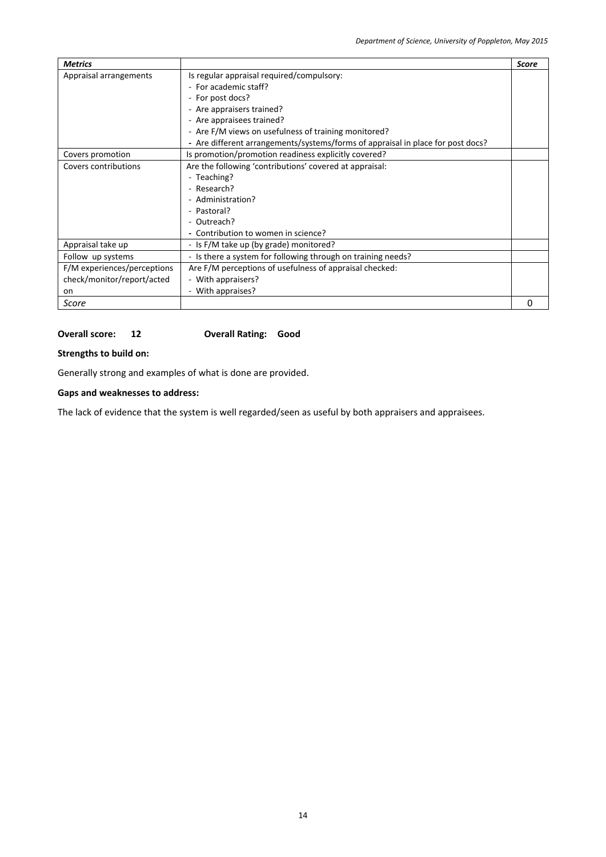| <b>Metrics</b>              |                                                                                 | <b>Score</b> |
|-----------------------------|---------------------------------------------------------------------------------|--------------|
| Appraisal arrangements      | Is regular appraisal required/compulsory:                                       |              |
|                             | - For academic staff?                                                           |              |
|                             | - For post docs?                                                                |              |
|                             | - Are appraisers trained?                                                       |              |
|                             | - Are appraisees trained?                                                       |              |
|                             | - Are F/M views on usefulness of training monitored?                            |              |
|                             | - Are different arrangements/systems/forms of appraisal in place for post docs? |              |
| Covers promotion            | Is promotion/promotion readiness explicitly covered?                            |              |
| Covers contributions        | Are the following 'contributions' covered at appraisal:                         |              |
|                             | - Teaching?                                                                     |              |
|                             | - Research?                                                                     |              |
|                             | - Administration?                                                               |              |
|                             | - Pastoral?                                                                     |              |
|                             | - Outreach?                                                                     |              |
|                             | - Contribution to women in science?                                             |              |
| Appraisal take up           | - Is F/M take up (by grade) monitored?                                          |              |
| Follow up systems           | - Is there a system for following through on training needs?                    |              |
| F/M experiences/perceptions | Are F/M perceptions of usefulness of appraisal checked:                         |              |
| check/monitor/report/acted  | - With appraisers?                                                              |              |
| on                          | - With appraises?                                                               |              |
| Score                       |                                                                                 | O            |

#### **Overall score: 12 Overall Rating: Good**

**Strengths to build on:**

Generally strong and examples of what is done are provided.

## **Gaps and weaknesses to address:**

The lack of evidence that the system is well regarded/seen as useful by both appraisers and appraisees.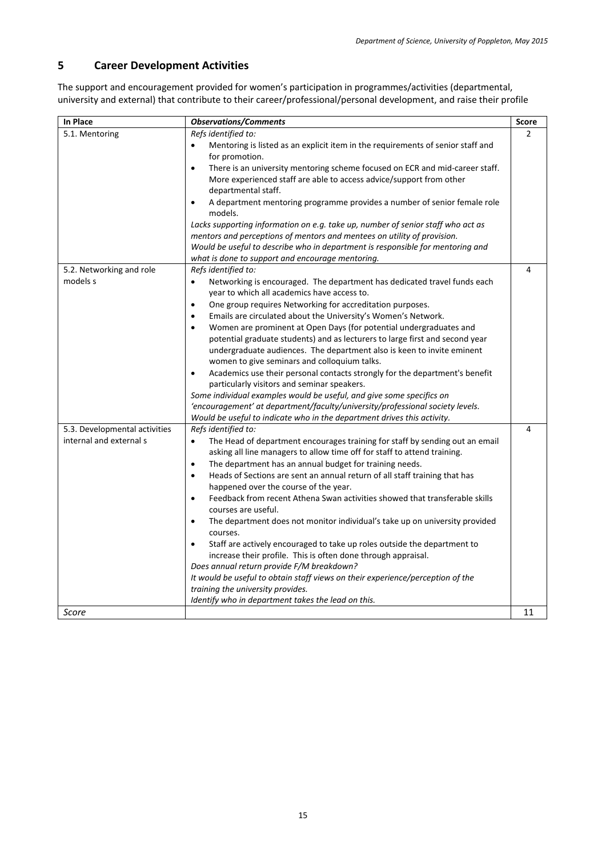## <span id="page-14-0"></span>**5 Career Development Activities**

The support and encouragement provided for women's participation in programmes/activities (departmental, university and external) that contribute to their career/professional/personal development, and raise their profile

| In Place                                                 | <b>Observations/Comments</b>                                                                                                                                                                                                                                                                                                                                                                                                                                                                                                                                                                                                                                                                                                                                                                                                                                                                                                                                                                                            | <b>Score</b>  |
|----------------------------------------------------------|-------------------------------------------------------------------------------------------------------------------------------------------------------------------------------------------------------------------------------------------------------------------------------------------------------------------------------------------------------------------------------------------------------------------------------------------------------------------------------------------------------------------------------------------------------------------------------------------------------------------------------------------------------------------------------------------------------------------------------------------------------------------------------------------------------------------------------------------------------------------------------------------------------------------------------------------------------------------------------------------------------------------------|---------------|
| 5.1. Mentoring                                           | Refs identified to:<br>Mentoring is listed as an explicit item in the requirements of senior staff and<br>for promotion.<br>There is an university mentoring scheme focused on ECR and mid-career staff.<br>$\bullet$<br>More experienced staff are able to access advice/support from other<br>departmental staff.<br>A department mentoring programme provides a number of senior female role<br>$\bullet$<br>models.<br>Lacks supporting information on e.g. take up, number of senior staff who act as<br>mentors and perceptions of mentors and mentees on utility of provision.<br>Would be useful to describe who in department is responsible for mentoring and<br>what is done to support and encourage mentoring.                                                                                                                                                                                                                                                                                             | $\mathcal{P}$ |
| 5.2. Networking and role<br>models s                     | Refs identified to:<br>Networking is encouraged. The department has dedicated travel funds each<br>$\bullet$<br>year to which all academics have access to.<br>One group requires Networking for accreditation purposes.<br>$\bullet$<br>Emails are circulated about the University's Women's Network.<br>$\bullet$<br>Women are prominent at Open Days (for potential undergraduates and<br>$\bullet$<br>potential graduate students) and as lecturers to large first and second year<br>undergraduate audiences. The department also is keen to invite eminent<br>women to give seminars and colloquium talks.<br>Academics use their personal contacts strongly for the department's benefit<br>$\bullet$<br>particularly visitors and seminar speakers.<br>Some individual examples would be useful, and give some specifics on<br>'encouragement' at department/faculty/university/professional society levels.<br>Would be useful to indicate who in the department drives this activity.                         | 4             |
| 5.3. Developmental activities<br>internal and external s | Refs identified to:<br>The Head of department encourages training for staff by sending out an email<br>$\bullet$<br>asking all line managers to allow time off for staff to attend training.<br>The department has an annual budget for training needs.<br>$\bullet$<br>Heads of Sections are sent an annual return of all staff training that has<br>$\bullet$<br>happened over the course of the year.<br>Feedback from recent Athena Swan activities showed that transferable skills<br>$\bullet$<br>courses are useful.<br>The department does not monitor individual's take up on university provided<br>$\bullet$<br>courses.<br>Staff are actively encouraged to take up roles outside the department to<br>$\bullet$<br>increase their profile. This is often done through appraisal.<br>Does annual return provide F/M breakdown?<br>It would be useful to obtain staff views on their experience/perception of the<br>training the university provides.<br>Identify who in department takes the lead on this. | 4             |
| Score                                                    |                                                                                                                                                                                                                                                                                                                                                                                                                                                                                                                                                                                                                                                                                                                                                                                                                                                                                                                                                                                                                         | 11            |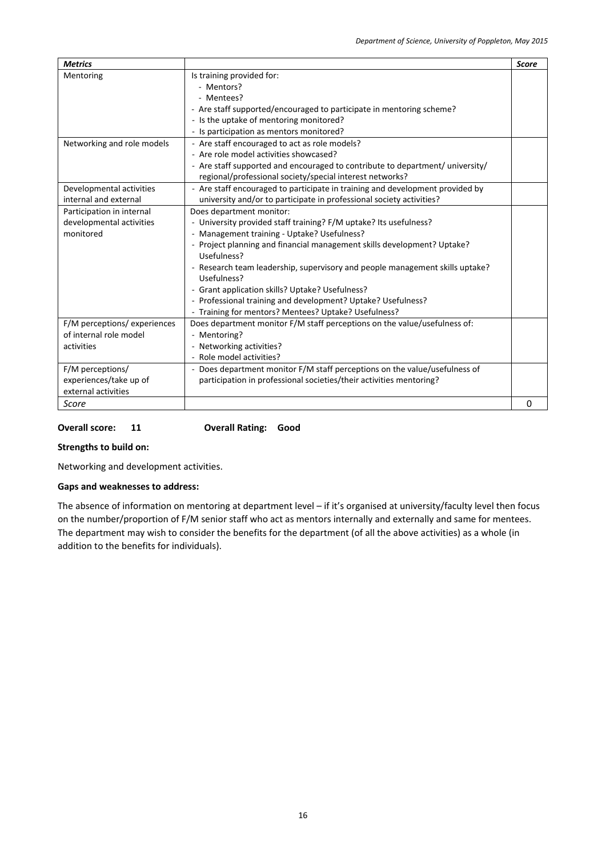| <b>Metrics</b>               |                                                                               | <b>Score</b> |
|------------------------------|-------------------------------------------------------------------------------|--------------|
| Mentoring                    | Is training provided for:                                                     |              |
|                              | - Mentors?                                                                    |              |
|                              | - Mentees?                                                                    |              |
|                              | - Are staff supported/encouraged to participate in mentoring scheme?          |              |
|                              | - Is the uptake of mentoring monitored?                                       |              |
|                              | - Is participation as mentors monitored?                                      |              |
| Networking and role models   | - Are staff encouraged to act as role models?                                 |              |
|                              | - Are role model activities showcased?                                        |              |
|                              | - Are staff supported and encouraged to contribute to department/ university/ |              |
|                              | regional/professional society/special interest networks?                      |              |
| Developmental activities     | - Are staff encouraged to participate in training and development provided by |              |
| internal and external        | university and/or to participate in professional society activities?          |              |
| Participation in internal    | Does department monitor:                                                      |              |
| developmental activities     | - University provided staff training? F/M uptake? Its usefulness?             |              |
| monitored                    | - Management training - Uptake? Usefulness?                                   |              |
|                              | - Project planning and financial management skills development? Uptake?       |              |
|                              | Usefulness?                                                                   |              |
|                              | - Research team leadership, supervisory and people management skills uptake?  |              |
|                              | Usefulness?                                                                   |              |
|                              | - Grant application skills? Uptake? Usefulness?                               |              |
|                              | - Professional training and development? Uptake? Usefulness?                  |              |
|                              | - Training for mentors? Mentees? Uptake? Usefulness?                          |              |
| F/M perceptions/ experiences | Does department monitor F/M staff perceptions on the value/usefulness of:     |              |
| of internal role model       | - Mentoring?                                                                  |              |
| activities                   | - Networking activities?                                                      |              |
|                              | - Role model activities?                                                      |              |
| F/M perceptions/             | - Does department monitor F/M staff perceptions on the value/usefulness of    |              |
| experiences/take up of       | participation in professional societies/their activities mentoring?           |              |
| external activities          |                                                                               |              |
| Score                        |                                                                               | $\Omega$     |

**Overall score: 11 Overall Rating: Good** 

**Strengths to build on:**

Networking and development activities.

## **Gaps and weaknesses to address:**

The absence of information on mentoring at department level – if it's organised at university/faculty level then focus on the number/proportion of F/M senior staff who act as mentors internally and externally and same for mentees. The department may wish to consider the benefits for the department (of all the above activities) as a whole (in addition to the benefits for individuals).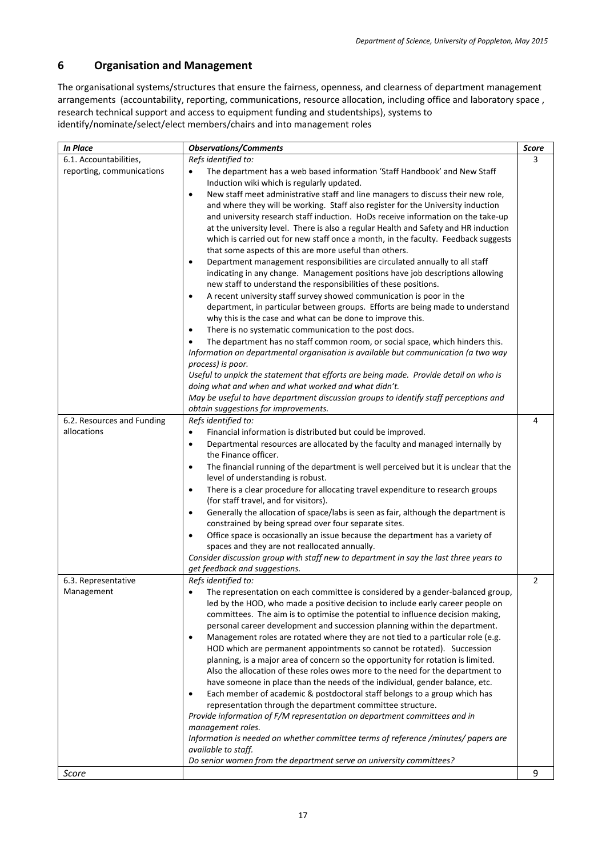## <span id="page-16-0"></span>**6 Organisation and Management**

The organisational systems/structures that ensure the fairness, openness, and clearness of department management arrangements (accountability, reporting, communications, resource allocation, including office and laboratory space , research technical support and access to equipment funding and studentships), systems to identify/nominate/select/elect members/chairs and into management roles

| <b>In Place</b>            | <b>Observations/Comments</b>                                                                                                                                                  | <b>Score</b> |
|----------------------------|-------------------------------------------------------------------------------------------------------------------------------------------------------------------------------|--------------|
| 6.1. Accountabilities,     | Refs identified to:                                                                                                                                                           | 3            |
| reporting, communications  | The department has a web based information 'Staff Handbook' and New Staff<br>$\bullet$                                                                                        |              |
|                            | Induction wiki which is regularly updated.                                                                                                                                    |              |
|                            | New staff meet administrative staff and line managers to discuss their new role,<br>$\bullet$                                                                                 |              |
|                            | and where they will be working. Staff also register for the University induction                                                                                              |              |
|                            | and university research staff induction. HoDs receive information on the take-up                                                                                              |              |
|                            | at the university level. There is also a regular Health and Safety and HR induction                                                                                           |              |
|                            | which is carried out for new staff once a month, in the faculty. Feedback suggests                                                                                            |              |
|                            | that some aspects of this are more useful than others.                                                                                                                        |              |
|                            | Department management responsibilities are circulated annually to all staff<br>$\bullet$                                                                                      |              |
|                            | indicating in any change. Management positions have job descriptions allowing                                                                                                 |              |
|                            | new staff to understand the responsibilities of these positions.                                                                                                              |              |
|                            | A recent university staff survey showed communication is poor in the<br>$\bullet$                                                                                             |              |
|                            | department, in particular between groups. Efforts are being made to understand                                                                                                |              |
|                            | why this is the case and what can be done to improve this.                                                                                                                    |              |
|                            | There is no systematic communication to the post docs.<br>$\bullet$                                                                                                           |              |
|                            | The department has no staff common room, or social space, which hinders this.<br>$\bullet$                                                                                    |              |
|                            | Information on departmental organisation is available but communication (a two way                                                                                            |              |
|                            | process) is poor.                                                                                                                                                             |              |
|                            | Useful to unpick the statement that efforts are being made. Provide detail on who is<br>doing what and when and what worked and what didn't.                                  |              |
|                            | May be useful to have department discussion groups to identify staff perceptions and                                                                                          |              |
|                            | obtain suggestions for improvements.                                                                                                                                          |              |
| 6.2. Resources and Funding | Refs identified to:                                                                                                                                                           | 4            |
| allocations                | Financial information is distributed but could be improved.<br>$\bullet$                                                                                                      |              |
|                            | Departmental resources are allocated by the faculty and managed internally by<br>$\bullet$                                                                                    |              |
|                            | the Finance officer.                                                                                                                                                          |              |
|                            | The financial running of the department is well perceived but it is unclear that the<br>$\bullet$                                                                             |              |
|                            | level of understanding is robust.                                                                                                                                             |              |
|                            | There is a clear procedure for allocating travel expenditure to research groups<br>$\bullet$                                                                                  |              |
|                            | (for staff travel, and for visitors).                                                                                                                                         |              |
|                            | Generally the allocation of space/labs is seen as fair, although the department is<br>$\bullet$                                                                               |              |
|                            | constrained by being spread over four separate sites.                                                                                                                         |              |
|                            | Office space is occasionally an issue because the department has a variety of<br>$\bullet$                                                                                    |              |
|                            | spaces and they are not reallocated annually.                                                                                                                                 |              |
|                            | Consider discussion group with staff new to department in say the last three years to                                                                                         |              |
|                            | get feedback and suggestions.                                                                                                                                                 |              |
| 6.3. Representative        | Refs identified to:                                                                                                                                                           | 2            |
| Management                 | The representation on each committee is considered by a gender-balanced group,<br>$\bullet$<br>led by the HOD, who made a positive decision to include early career people on |              |
|                            | committees. The aim is to optimise the potential to influence decision making,                                                                                                |              |
|                            | personal career development and succession planning within the department.                                                                                                    |              |
|                            | Management roles are rotated where they are not tied to a particular role (e.g.<br>$\bullet$                                                                                  |              |
|                            | HOD which are permanent appointments so cannot be rotated). Succession                                                                                                        |              |
|                            | planning, is a major area of concern so the opportunity for rotation is limited.                                                                                              |              |
|                            | Also the allocation of these roles owes more to the need for the department to                                                                                                |              |
|                            | have someone in place than the needs of the individual, gender balance, etc.                                                                                                  |              |
|                            | Each member of academic & postdoctoral staff belongs to a group which has<br>$\bullet$                                                                                        |              |
|                            | representation through the department committee structure.                                                                                                                    |              |
|                            | Provide information of F/M representation on department committees and in                                                                                                     |              |
|                            | management roles.                                                                                                                                                             |              |
|                            | Information is needed on whether committee terms of reference /minutes/ papers are                                                                                            |              |
|                            | available to staff.                                                                                                                                                           |              |
|                            | Do senior women from the department serve on university committees?                                                                                                           |              |
| Score                      |                                                                                                                                                                               | 9            |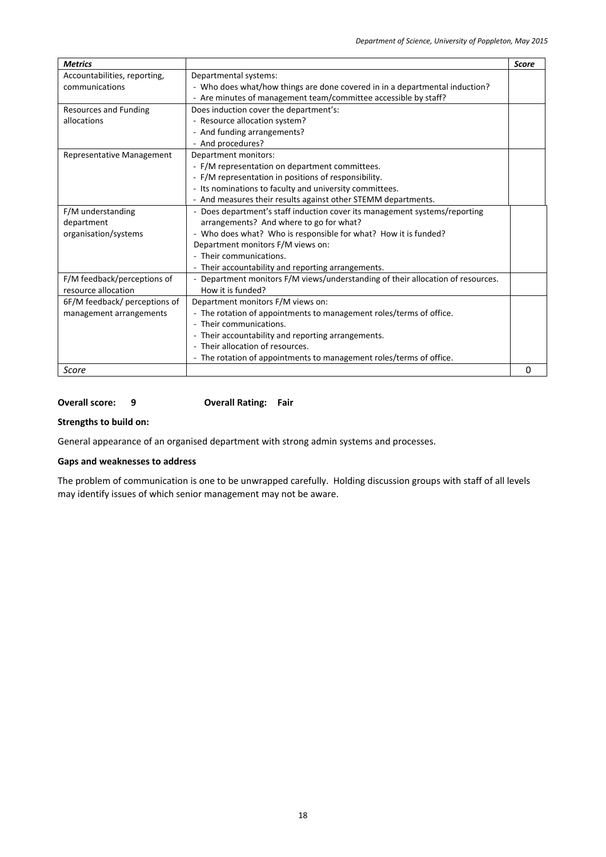| <b>Metrics</b>                |                                                                                 | <b>Score</b> |
|-------------------------------|---------------------------------------------------------------------------------|--------------|
| Accountabilities, reporting,  | Departmental systems:                                                           |              |
| communications                | - Who does what/how things are done covered in in a departmental induction?     |              |
|                               | - Are minutes of management team/committee accessible by staff?                 |              |
| <b>Resources and Funding</b>  | Does induction cover the department's:                                          |              |
| allocations                   | - Resource allocation system?                                                   |              |
|                               | - And funding arrangements?                                                     |              |
|                               | - And procedures?                                                               |              |
| Representative Management     | Department monitors:                                                            |              |
|                               | - F/M representation on department committees.                                  |              |
|                               | - F/M representation in positions of responsibility.                            |              |
|                               | - Its nominations to faculty and university committees.                         |              |
|                               | - And measures their results against other STEMM departments.                   |              |
| F/M understanding             | - Does department's staff induction cover its management systems/reporting      |              |
| department                    | arrangements? And where to go for what?                                         |              |
| organisation/systems          | - Who does what? Who is responsible for what? How it is funded?                 |              |
|                               | Department monitors F/M views on:                                               |              |
|                               | - Their communications.                                                         |              |
|                               | - Their accountability and reporting arrangements.                              |              |
| F/M feedback/perceptions of   | - Department monitors F/M views/understanding of their allocation of resources. |              |
| resource allocation           | How it is funded?                                                               |              |
| 6F/M feedback/ perceptions of | Department monitors F/M views on:                                               |              |
| management arrangements       | - The rotation of appointments to management roles/terms of office.             |              |
|                               | - Their communications.                                                         |              |
|                               | - Their accountability and reporting arrangements.                              |              |
|                               | - Their allocation of resources.                                                |              |
|                               | - The rotation of appointments to management roles/terms of office.             |              |
| Score                         |                                                                                 | 0            |

### **Overall score: 9 Overall Rating: Fair**

#### **Strengths to build on:**

General appearance of an organised department with strong admin systems and processes.

## **Gaps and weaknesses to address**

The problem of communication is one to be unwrapped carefully. Holding discussion groups with staff of all levels may identify issues of which senior management may not be aware.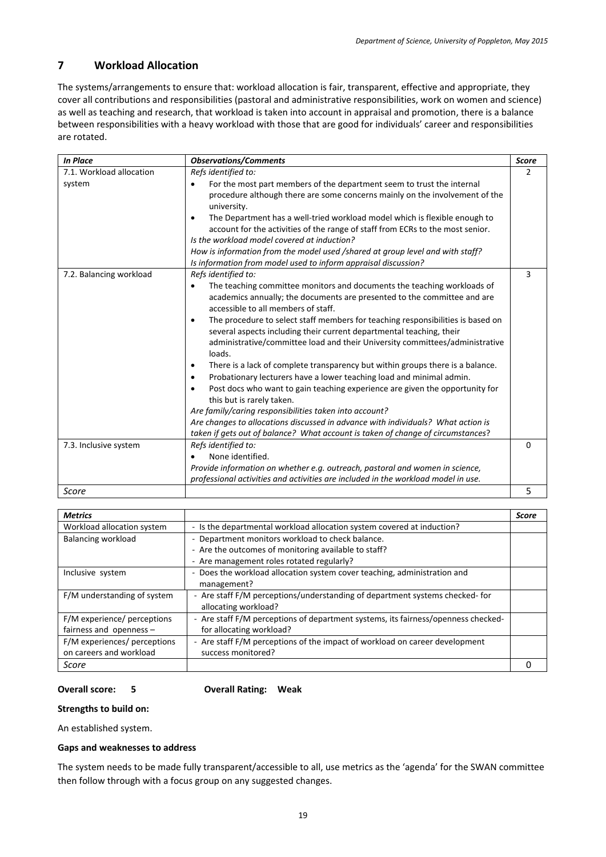## <span id="page-18-0"></span>**7 Workload Allocation**

The systems/arrangements to ensure that: workload allocation is fair, transparent, effective and appropriate, they cover all contributions and responsibilities (pastoral and administrative responsibilities, work on women and science) as well as teaching and research, that workload is taken into account in appraisal and promotion, there is a balance between responsibilities with a heavy workload with those that are good for individuals' career and responsibilities are rotated.

| <b>In Place</b>          | <b>Observations/Comments</b>                                                                                                                                                                                                                                                                                                                                                                                                                                                                                                                                                                                                                                                                                                                                                                                                                                                                                                                                                                                                                                                                              | <b>Score</b> |
|--------------------------|-----------------------------------------------------------------------------------------------------------------------------------------------------------------------------------------------------------------------------------------------------------------------------------------------------------------------------------------------------------------------------------------------------------------------------------------------------------------------------------------------------------------------------------------------------------------------------------------------------------------------------------------------------------------------------------------------------------------------------------------------------------------------------------------------------------------------------------------------------------------------------------------------------------------------------------------------------------------------------------------------------------------------------------------------------------------------------------------------------------|--------------|
| 7.1. Workload allocation | Refs identified to:                                                                                                                                                                                                                                                                                                                                                                                                                                                                                                                                                                                                                                                                                                                                                                                                                                                                                                                                                                                                                                                                                       | 2            |
| system                   | For the most part members of the department seem to trust the internal<br>$\bullet$<br>procedure although there are some concerns mainly on the involvement of the<br>university.<br>The Department has a well-tried workload model which is flexible enough to<br>٠<br>account for the activities of the range of staff from ECRs to the most senior.<br>Is the workload model covered at induction?<br>How is information from the model used /shared at group level and with staff?                                                                                                                                                                                                                                                                                                                                                                                                                                                                                                                                                                                                                    |              |
| 7.2. Balancing workload  | Is information from model used to inform appraisal discussion?<br>Refs identified to:<br>The teaching committee monitors and documents the teaching workloads of<br>$\bullet$<br>academics annually; the documents are presented to the committee and are<br>accessible to all members of staff.<br>The procedure to select staff members for teaching responsibilities is based on<br>$\bullet$<br>several aspects including their current departmental teaching, their<br>administrative/committee load and their University committees/administrative<br>loads.<br>There is a lack of complete transparency but within groups there is a balance.<br>٠<br>Probationary lecturers have a lower teaching load and minimal admin.<br>$\bullet$<br>Post docs who want to gain teaching experience are given the opportunity for<br>$\bullet$<br>this but is rarely taken.<br>Are family/caring responsibilities taken into account?<br>Are changes to allocations discussed in advance with individuals? What action is<br>taken if gets out of balance? What account is taken of change of circumstances? | 3            |
| 7.3. Inclusive system    | Refs identified to:<br>None identified.<br>Provide information on whether e.g. outreach, pastoral and women in science,<br>professional activities and activities are included in the workload model in use.                                                                                                                                                                                                                                                                                                                                                                                                                                                                                                                                                                                                                                                                                                                                                                                                                                                                                              | 0            |
| Score                    |                                                                                                                                                                                                                                                                                                                                                                                                                                                                                                                                                                                                                                                                                                                                                                                                                                                                                                                                                                                                                                                                                                           | 5            |

| <b>Metrics</b>               |                                                                                   | <b>Score</b> |
|------------------------------|-----------------------------------------------------------------------------------|--------------|
| Workload allocation system   | - Is the departmental workload allocation system covered at induction?            |              |
| <b>Balancing workload</b>    | - Department monitors workload to check balance.                                  |              |
|                              | - Are the outcomes of monitoring available to staff?                              |              |
|                              | - Are management roles rotated regularly?                                         |              |
| Inclusive system             | - Does the workload allocation system cover teaching, administration and          |              |
|                              | management?                                                                       |              |
| F/M understanding of system  | - Are staff F/M perceptions/understanding of department systems checked- for      |              |
|                              | allocating workload?                                                              |              |
| F/M experience/ perceptions  | - Are staff F/M perceptions of department systems, its fairness/openness checked- |              |
| fairness and openness $-$    | for allocating workload?                                                          |              |
| F/M experiences/ perceptions | - Are staff F/M perceptions of the impact of workload on career development       |              |
| on careers and workload      | success monitored?                                                                |              |
| Score                        |                                                                                   |              |

**Overall score: 5 Overall Rating: Weak**

#### **Strengths to build on:**

An established system.

#### **Gaps and weaknesses to address**

The system needs to be made fully transparent/accessible to all, use metrics as the 'agenda' for the SWAN committee then follow through with a focus group on any suggested changes.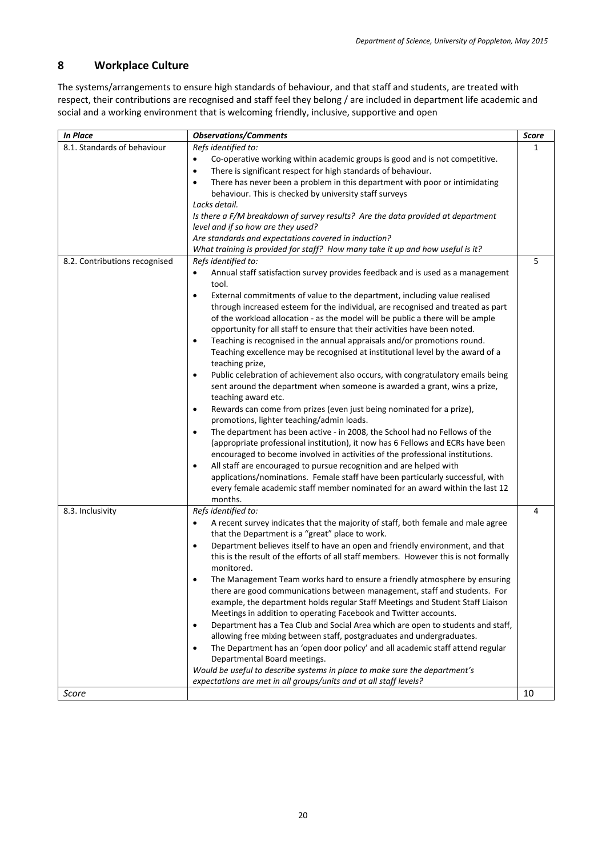## <span id="page-19-0"></span>**8 Workplace Culture**

The systems/arrangements to ensure high standards of behaviour, and that staff and students, are treated with respect, their contributions are recognised and staff feel they belong / are included in department life academic and social and a working environment that is welcoming friendly, inclusive, supportive and open

| 8.1. Standards of behaviour<br>Refs identified to:<br>1<br>Co-operative working within academic groups is good and is not competitive.<br>There is significant respect for high standards of behaviour.<br>$\bullet$<br>There has never been a problem in this department with poor or intimidating<br>$\bullet$<br>behaviour. This is checked by university staff surveys<br>Lacks detail.<br>Is there a F/M breakdown of survey results? Are the data provided at department<br>level and if so how are they used?<br>Are standards and expectations covered in induction?<br>What training is provided for staff? How many take it up and how useful is it?<br>5<br>8.2. Contributions recognised<br>Refs identified to:<br>Annual staff satisfaction survey provides feedback and is used as a management<br>$\bullet$<br>tool.<br>External commitments of value to the department, including value realised<br>$\bullet$<br>through increased esteem for the individual, are recognised and treated as part<br>of the workload allocation - as the model will be public a there will be ample |
|----------------------------------------------------------------------------------------------------------------------------------------------------------------------------------------------------------------------------------------------------------------------------------------------------------------------------------------------------------------------------------------------------------------------------------------------------------------------------------------------------------------------------------------------------------------------------------------------------------------------------------------------------------------------------------------------------------------------------------------------------------------------------------------------------------------------------------------------------------------------------------------------------------------------------------------------------------------------------------------------------------------------------------------------------------------------------------------------------|
|                                                                                                                                                                                                                                                                                                                                                                                                                                                                                                                                                                                                                                                                                                                                                                                                                                                                                                                                                                                                                                                                                                    |
|                                                                                                                                                                                                                                                                                                                                                                                                                                                                                                                                                                                                                                                                                                                                                                                                                                                                                                                                                                                                                                                                                                    |
|                                                                                                                                                                                                                                                                                                                                                                                                                                                                                                                                                                                                                                                                                                                                                                                                                                                                                                                                                                                                                                                                                                    |
|                                                                                                                                                                                                                                                                                                                                                                                                                                                                                                                                                                                                                                                                                                                                                                                                                                                                                                                                                                                                                                                                                                    |
|                                                                                                                                                                                                                                                                                                                                                                                                                                                                                                                                                                                                                                                                                                                                                                                                                                                                                                                                                                                                                                                                                                    |
|                                                                                                                                                                                                                                                                                                                                                                                                                                                                                                                                                                                                                                                                                                                                                                                                                                                                                                                                                                                                                                                                                                    |
|                                                                                                                                                                                                                                                                                                                                                                                                                                                                                                                                                                                                                                                                                                                                                                                                                                                                                                                                                                                                                                                                                                    |
|                                                                                                                                                                                                                                                                                                                                                                                                                                                                                                                                                                                                                                                                                                                                                                                                                                                                                                                                                                                                                                                                                                    |
|                                                                                                                                                                                                                                                                                                                                                                                                                                                                                                                                                                                                                                                                                                                                                                                                                                                                                                                                                                                                                                                                                                    |
|                                                                                                                                                                                                                                                                                                                                                                                                                                                                                                                                                                                                                                                                                                                                                                                                                                                                                                                                                                                                                                                                                                    |
|                                                                                                                                                                                                                                                                                                                                                                                                                                                                                                                                                                                                                                                                                                                                                                                                                                                                                                                                                                                                                                                                                                    |
|                                                                                                                                                                                                                                                                                                                                                                                                                                                                                                                                                                                                                                                                                                                                                                                                                                                                                                                                                                                                                                                                                                    |
|                                                                                                                                                                                                                                                                                                                                                                                                                                                                                                                                                                                                                                                                                                                                                                                                                                                                                                                                                                                                                                                                                                    |
|                                                                                                                                                                                                                                                                                                                                                                                                                                                                                                                                                                                                                                                                                                                                                                                                                                                                                                                                                                                                                                                                                                    |
|                                                                                                                                                                                                                                                                                                                                                                                                                                                                                                                                                                                                                                                                                                                                                                                                                                                                                                                                                                                                                                                                                                    |
| opportunity for all staff to ensure that their activities have been noted.                                                                                                                                                                                                                                                                                                                                                                                                                                                                                                                                                                                                                                                                                                                                                                                                                                                                                                                                                                                                                         |
| Teaching is recognised in the annual appraisals and/or promotions round.<br>$\bullet$                                                                                                                                                                                                                                                                                                                                                                                                                                                                                                                                                                                                                                                                                                                                                                                                                                                                                                                                                                                                              |
| Teaching excellence may be recognised at institutional level by the award of a<br>teaching prize,                                                                                                                                                                                                                                                                                                                                                                                                                                                                                                                                                                                                                                                                                                                                                                                                                                                                                                                                                                                                  |
| Public celebration of achievement also occurs, with congratulatory emails being<br>$\bullet$                                                                                                                                                                                                                                                                                                                                                                                                                                                                                                                                                                                                                                                                                                                                                                                                                                                                                                                                                                                                       |
| sent around the department when someone is awarded a grant, wins a prize,                                                                                                                                                                                                                                                                                                                                                                                                                                                                                                                                                                                                                                                                                                                                                                                                                                                                                                                                                                                                                          |
| teaching award etc.                                                                                                                                                                                                                                                                                                                                                                                                                                                                                                                                                                                                                                                                                                                                                                                                                                                                                                                                                                                                                                                                                |
| Rewards can come from prizes (even just being nominated for a prize),<br>$\bullet$                                                                                                                                                                                                                                                                                                                                                                                                                                                                                                                                                                                                                                                                                                                                                                                                                                                                                                                                                                                                                 |
| promotions, lighter teaching/admin loads.                                                                                                                                                                                                                                                                                                                                                                                                                                                                                                                                                                                                                                                                                                                                                                                                                                                                                                                                                                                                                                                          |
| The department has been active - in 2008, the School had no Fellows of the<br>$\bullet$                                                                                                                                                                                                                                                                                                                                                                                                                                                                                                                                                                                                                                                                                                                                                                                                                                                                                                                                                                                                            |
| (appropriate professional institution), it now has 6 Fellows and ECRs have been                                                                                                                                                                                                                                                                                                                                                                                                                                                                                                                                                                                                                                                                                                                                                                                                                                                                                                                                                                                                                    |
| encouraged to become involved in activities of the professional institutions.                                                                                                                                                                                                                                                                                                                                                                                                                                                                                                                                                                                                                                                                                                                                                                                                                                                                                                                                                                                                                      |
| All staff are encouraged to pursue recognition and are helped with<br>$\bullet$                                                                                                                                                                                                                                                                                                                                                                                                                                                                                                                                                                                                                                                                                                                                                                                                                                                                                                                                                                                                                    |
| applications/nominations. Female staff have been particularly successful, with                                                                                                                                                                                                                                                                                                                                                                                                                                                                                                                                                                                                                                                                                                                                                                                                                                                                                                                                                                                                                     |
| every female academic staff member nominated for an award within the last 12                                                                                                                                                                                                                                                                                                                                                                                                                                                                                                                                                                                                                                                                                                                                                                                                                                                                                                                                                                                                                       |
| months.                                                                                                                                                                                                                                                                                                                                                                                                                                                                                                                                                                                                                                                                                                                                                                                                                                                                                                                                                                                                                                                                                            |
| 8.3. Inclusivity<br>Refs identified to:<br>4                                                                                                                                                                                                                                                                                                                                                                                                                                                                                                                                                                                                                                                                                                                                                                                                                                                                                                                                                                                                                                                       |
| A recent survey indicates that the majority of staff, both female and male agree<br>$\bullet$                                                                                                                                                                                                                                                                                                                                                                                                                                                                                                                                                                                                                                                                                                                                                                                                                                                                                                                                                                                                      |
| that the Department is a "great" place to work.                                                                                                                                                                                                                                                                                                                                                                                                                                                                                                                                                                                                                                                                                                                                                                                                                                                                                                                                                                                                                                                    |
| Department believes itself to have an open and friendly environment, and that<br>$\bullet$                                                                                                                                                                                                                                                                                                                                                                                                                                                                                                                                                                                                                                                                                                                                                                                                                                                                                                                                                                                                         |
| this is the result of the efforts of all staff members. However this is not formally                                                                                                                                                                                                                                                                                                                                                                                                                                                                                                                                                                                                                                                                                                                                                                                                                                                                                                                                                                                                               |
| monitored.                                                                                                                                                                                                                                                                                                                                                                                                                                                                                                                                                                                                                                                                                                                                                                                                                                                                                                                                                                                                                                                                                         |
| The Management Team works hard to ensure a friendly atmosphere by ensuring<br>٠                                                                                                                                                                                                                                                                                                                                                                                                                                                                                                                                                                                                                                                                                                                                                                                                                                                                                                                                                                                                                    |
| there are good communications between management, staff and students. For                                                                                                                                                                                                                                                                                                                                                                                                                                                                                                                                                                                                                                                                                                                                                                                                                                                                                                                                                                                                                          |
| example, the department holds regular Staff Meetings and Student Staff Liaison<br>Meetings in addition to operating Facebook and Twitter accounts.                                                                                                                                                                                                                                                                                                                                                                                                                                                                                                                                                                                                                                                                                                                                                                                                                                                                                                                                                 |
| $\bullet$                                                                                                                                                                                                                                                                                                                                                                                                                                                                                                                                                                                                                                                                                                                                                                                                                                                                                                                                                                                                                                                                                          |
| Department has a Tea Club and Social Area which are open to students and staff,<br>allowing free mixing between staff, postgraduates and undergraduates.                                                                                                                                                                                                                                                                                                                                                                                                                                                                                                                                                                                                                                                                                                                                                                                                                                                                                                                                           |
| The Department has an 'open door policy' and all academic staff attend regular<br>$\bullet$                                                                                                                                                                                                                                                                                                                                                                                                                                                                                                                                                                                                                                                                                                                                                                                                                                                                                                                                                                                                        |
| Departmental Board meetings.                                                                                                                                                                                                                                                                                                                                                                                                                                                                                                                                                                                                                                                                                                                                                                                                                                                                                                                                                                                                                                                                       |
| Would be useful to describe systems in place to make sure the department's                                                                                                                                                                                                                                                                                                                                                                                                                                                                                                                                                                                                                                                                                                                                                                                                                                                                                                                                                                                                                         |
| expectations are met in all groups/units and at all staff levels?                                                                                                                                                                                                                                                                                                                                                                                                                                                                                                                                                                                                                                                                                                                                                                                                                                                                                                                                                                                                                                  |
| 10<br>Score                                                                                                                                                                                                                                                                                                                                                                                                                                                                                                                                                                                                                                                                                                                                                                                                                                                                                                                                                                                                                                                                                        |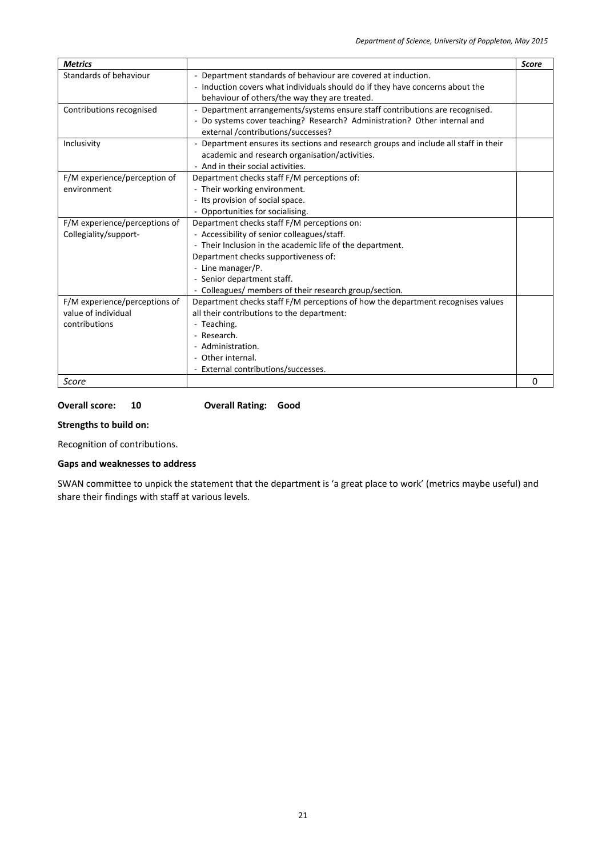| <b>Metrics</b>                |                                                                                    | <b>Score</b> |
|-------------------------------|------------------------------------------------------------------------------------|--------------|
| Standards of behaviour        | - Department standards of behaviour are covered at induction.                      |              |
|                               | - Induction covers what individuals should do if they have concerns about the      |              |
|                               | behaviour of others/the way they are treated.                                      |              |
| Contributions recognised      | - Department arrangements/systems ensure staff contributions are recognised.       |              |
|                               | Do systems cover teaching? Research? Administration? Other internal and            |              |
|                               | external /contributions/successes?                                                 |              |
| Inclusivity                   | Department ensures its sections and research groups and include all staff in their |              |
|                               | academic and research organisation/activities.                                     |              |
|                               | - And in their social activities.                                                  |              |
| F/M experience/perception of  | Department checks staff F/M perceptions of:                                        |              |
| environment                   | - Their working environment.                                                       |              |
|                               | - Its provision of social space.                                                   |              |
|                               | - Opportunities for socialising.                                                   |              |
| F/M experience/perceptions of | Department checks staff F/M perceptions on:                                        |              |
| Collegiality/support-         | - Accessibility of senior colleagues/staff.                                        |              |
|                               | - Their Inclusion in the academic life of the department.                          |              |
|                               | Department checks supportiveness of:                                               |              |
|                               | - Line manager/P.                                                                  |              |
|                               | - Senior department staff.                                                         |              |
|                               | - Colleagues/ members of their research group/section.                             |              |
| F/M experience/perceptions of | Department checks staff F/M perceptions of how the department recognises values    |              |
| value of individual           | all their contributions to the department:                                         |              |
| contributions                 | - Teaching.                                                                        |              |
|                               | - Research.                                                                        |              |
|                               | - Administration.                                                                  |              |
|                               | - Other internal.                                                                  |              |
|                               | - External contributions/successes.                                                |              |
| Score                         |                                                                                    | 0            |

#### **Overall score: 10 Overall Rating: Good**

### **Strengths to build on:**

Recognition of contributions.

## **Gaps and weaknesses to address**

SWAN committee to unpick the statement that the department is 'a great place to work' (metrics maybe useful) and share their findings with staff at various levels.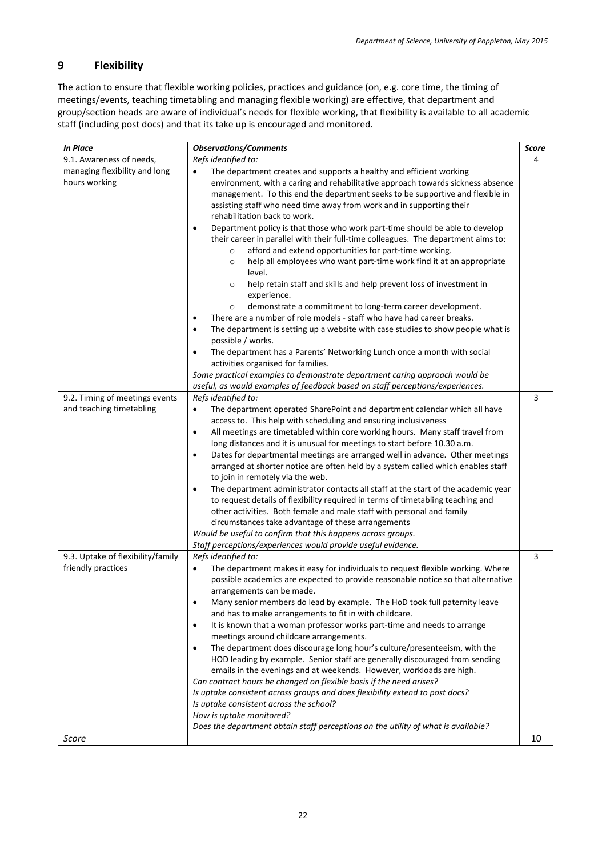## <span id="page-21-0"></span>**9 Flexibility**

The action to ensure that flexible working policies, practices and guidance (on, e.g. core time, the timing of meetings/events, teaching timetabling and managing flexible working) are effective, that department and group/section heads are aware of individual's needs for flexible working, that flexibility is available to all academic staff (including post docs) and that its take up is encouraged and monitored.

| <b>In Place</b>                                            | <b>Observations/Comments</b>                                                                                                                                                                                                                                                                                                                                                                                                                                                                                                                                                                                                                                                                                                                                                                                                                                                                                                                                                                                                                                                                                                                                                                                               | <b>Score</b> |
|------------------------------------------------------------|----------------------------------------------------------------------------------------------------------------------------------------------------------------------------------------------------------------------------------------------------------------------------------------------------------------------------------------------------------------------------------------------------------------------------------------------------------------------------------------------------------------------------------------------------------------------------------------------------------------------------------------------------------------------------------------------------------------------------------------------------------------------------------------------------------------------------------------------------------------------------------------------------------------------------------------------------------------------------------------------------------------------------------------------------------------------------------------------------------------------------------------------------------------------------------------------------------------------------|--------------|
| 9.1. Awareness of needs,                                   | Refs identified to:                                                                                                                                                                                                                                                                                                                                                                                                                                                                                                                                                                                                                                                                                                                                                                                                                                                                                                                                                                                                                                                                                                                                                                                                        | 4            |
| managing flexibility and long<br>hours working             | The department creates and supports a healthy and efficient working<br>$\bullet$<br>environment, with a caring and rehabilitative approach towards sickness absence<br>management. To this end the department seeks to be supportive and flexible in<br>assisting staff who need time away from work and in supporting their<br>rehabilitation back to work.<br>Department policy is that those who work part-time should be able to develop<br>$\bullet$<br>their career in parallel with their full-time colleagues. The department aims to:<br>afford and extend opportunities for part-time working.<br>$\circ$<br>help all employees who want part-time work find it at an appropriate<br>$\circ$<br>level.<br>help retain staff and skills and help prevent loss of investment in<br>$\circ$<br>experience.<br>demonstrate a commitment to long-term career development.<br>$\circ$<br>There are a number of role models - staff who have had career breaks.<br>٠<br>The department is setting up a website with case studies to show people what is<br>$\bullet$<br>possible / works.<br>The department has a Parents' Networking Lunch once a month with social<br>$\bullet$<br>activities organised for families. |              |
|                                                            | Some practical examples to demonstrate department caring approach would be                                                                                                                                                                                                                                                                                                                                                                                                                                                                                                                                                                                                                                                                                                                                                                                                                                                                                                                                                                                                                                                                                                                                                 |              |
|                                                            | useful, as would examples of feedback based on staff perceptions/experiences.                                                                                                                                                                                                                                                                                                                                                                                                                                                                                                                                                                                                                                                                                                                                                                                                                                                                                                                                                                                                                                                                                                                                              |              |
| 9.2. Timing of meetings events<br>and teaching timetabling | Refs identified to:<br>The department operated SharePoint and department calendar which all have<br>$\bullet$<br>access to. This help with scheduling and ensuring inclusiveness<br>All meetings are timetabled within core working hours. Many staff travel from<br>$\bullet$<br>long distances and it is unusual for meetings to start before 10.30 a.m.<br>Dates for departmental meetings are arranged well in advance. Other meetings<br>$\bullet$<br>arranged at shorter notice are often held by a system called which enables staff<br>to join in remotely via the web.<br>The department administrator contacts all staff at the start of the academic year<br>$\bullet$<br>to request details of flexibility required in terms of timetabling teaching and<br>other activities. Both female and male staff with personal and family<br>circumstances take advantage of these arrangements<br>Would be useful to confirm that this happens across groups.<br>Staff perceptions/experiences would provide useful evidence.                                                                                                                                                                                         | 3            |
| 9.3. Uptake of flexibility/family<br>friendly practices    | Refs identified to:<br>The department makes it easy for individuals to request flexible working. Where<br>$\bullet$<br>possible academics are expected to provide reasonable notice so that alternative<br>arrangements can be made.<br>Many senior members do lead by example. The HoD took full paternity leave<br>$\bullet$<br>and has to make arrangements to fit in with childcare.<br>It is known that a woman professor works part-time and needs to arrange<br>$\bullet$<br>meetings around childcare arrangements.<br>The department does discourage long hour's culture/presenteeism, with the<br>$\bullet$<br>HOD leading by example. Senior staff are generally discouraged from sending<br>emails in the evenings and at weekends. However, workloads are high.<br>Can contract hours be changed on flexible basis if the need arises?<br>Is uptake consistent across groups and does flexibility extend to post docs?<br>Is uptake consistent across the school?<br>How is uptake monitored?<br>Does the department obtain staff perceptions on the utility of what is available?                                                                                                                            | 3            |
| Score                                                      |                                                                                                                                                                                                                                                                                                                                                                                                                                                                                                                                                                                                                                                                                                                                                                                                                                                                                                                                                                                                                                                                                                                                                                                                                            | 10           |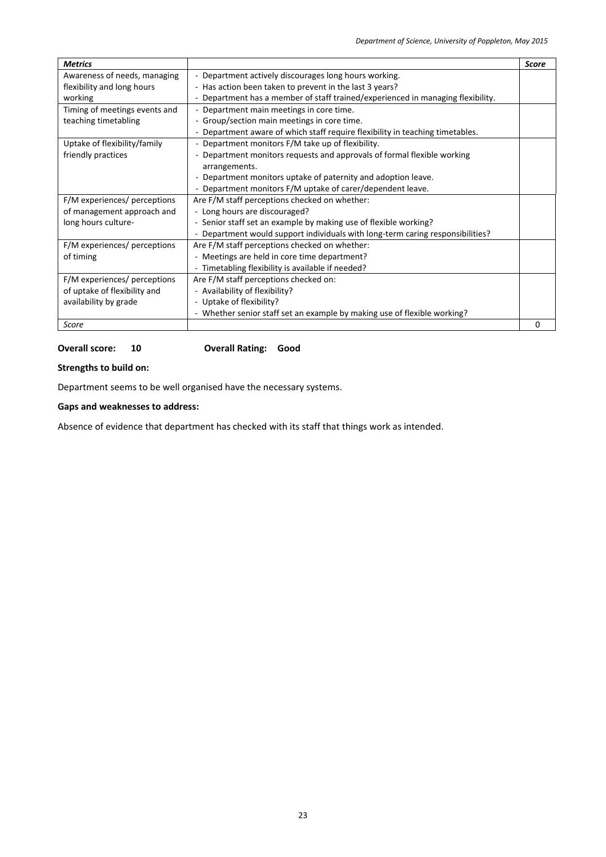| <b>Metrics</b>                |                                                                                 | <b>Score</b> |
|-------------------------------|---------------------------------------------------------------------------------|--------------|
| Awareness of needs, managing  | - Department actively discourages long hours working.                           |              |
| flexibility and long hours    | - Has action been taken to prevent in the last 3 years?                         |              |
| working                       | - Department has a member of staff trained/experienced in managing flexibility. |              |
| Timing of meetings events and | - Department main meetings in core time.                                        |              |
| teaching timetabling          | - Group/section main meetings in core time.                                     |              |
|                               | - Department aware of which staff require flexibility in teaching timetables.   |              |
| Uptake of flexibility/family  | - Department monitors F/M take up of flexibility.                               |              |
| friendly practices            | - Department monitors requests and approvals of formal flexible working         |              |
|                               | arrangements.                                                                   |              |
|                               | - Department monitors uptake of paternity and adoption leave.                   |              |
|                               | - Department monitors F/M uptake of carer/dependent leave.                      |              |
| F/M experiences/ perceptions  | Are F/M staff perceptions checked on whether:                                   |              |
| of management approach and    | - Long hours are discouraged?                                                   |              |
| long hours culture-           | - Senior staff set an example by making use of flexible working?                |              |
|                               | Department would support individuals with long-term caring responsibilities?    |              |
| F/M experiences/ perceptions  | Are F/M staff perceptions checked on whether:                                   |              |
| of timing                     | - Meetings are held in core time department?                                    |              |
|                               | - Timetabling flexibility is available if needed?                               |              |
| F/M experiences/ perceptions  | Are F/M staff perceptions checked on:                                           |              |
| of uptake of flexibility and  | - Availability of flexibility?                                                  |              |
| availability by grade         | - Uptake of flexibility?                                                        |              |
|                               | - Whether senior staff set an example by making use of flexible working?        |              |
| Score                         |                                                                                 | O            |

#### **Overall score: 10 Overall Rating: Good**

## **Strengths to build on:**

Department seems to be well organised have the necessary systems.

## **Gaps and weaknesses to address:**

Absence of evidence that department has checked with its staff that things work as intended.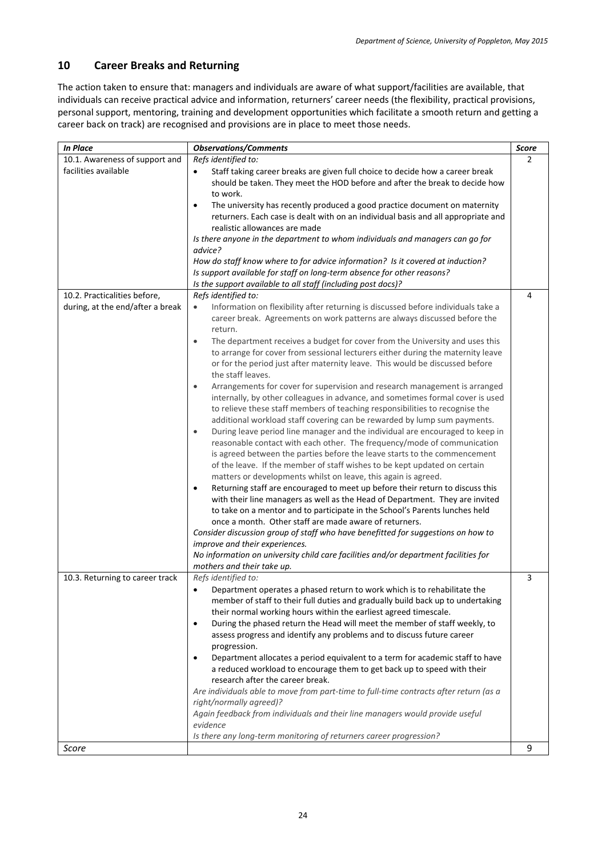## <span id="page-23-0"></span>**10 Career Breaks and Returning**

The action taken to ensure that: managers and individuals are aware of what support/facilities are available, that individuals can receive practical advice and information, returners' career needs (the flexibility, practical provisions, personal support, mentoring, training and development opportunities which facilitate a smooth return and getting a career back on track) are recognised and provisions are in place to meet those needs.

| <b>In Place</b>                  | <b>Observations/Comments</b>                                                                                                                                          | Score |
|----------------------------------|-----------------------------------------------------------------------------------------------------------------------------------------------------------------------|-------|
| 10.1. Awareness of support and   | Refs identified to:                                                                                                                                                   | 2     |
| facilities available             | Staff taking career breaks are given full choice to decide how a career break<br>$\bullet$                                                                            |       |
|                                  | should be taken. They meet the HOD before and after the break to decide how                                                                                           |       |
|                                  | to work.                                                                                                                                                              |       |
|                                  | The university has recently produced a good practice document on maternity<br>$\bullet$                                                                               |       |
|                                  | returners. Each case is dealt with on an individual basis and all appropriate and                                                                                     |       |
|                                  | realistic allowances are made                                                                                                                                         |       |
|                                  | Is there anyone in the department to whom individuals and managers can go for                                                                                         |       |
|                                  | advice?                                                                                                                                                               |       |
|                                  | How do staff know where to for advice information? Is it covered at induction?                                                                                        |       |
|                                  | Is support available for staff on long-term absence for other reasons?                                                                                                |       |
|                                  | Is the support available to all staff (including post docs)?                                                                                                          |       |
| 10.2. Practicalities before,     | Refs identified to:                                                                                                                                                   | 4     |
| during, at the end/after a break | Information on flexibility after returning is discussed before individuals take a<br>$\bullet$                                                                        |       |
|                                  | career break. Agreements on work patterns are always discussed before the                                                                                             |       |
|                                  | return.                                                                                                                                                               |       |
|                                  | The department receives a budget for cover from the University and uses this<br>$\bullet$                                                                             |       |
|                                  | to arrange for cover from sessional lecturers either during the maternity leave                                                                                       |       |
|                                  | or for the period just after maternity leave. This would be discussed before                                                                                          |       |
|                                  | the staff leaves.                                                                                                                                                     |       |
|                                  | Arrangements for cover for supervision and research management is arranged<br>$\bullet$                                                                               |       |
|                                  | internally, by other colleagues in advance, and sometimes formal cover is used                                                                                        |       |
|                                  | to relieve these staff members of teaching responsibilities to recognise the                                                                                          |       |
|                                  | additional workload staff covering can be rewarded by lump sum payments.                                                                                              |       |
|                                  | During leave period line manager and the individual are encouraged to keep in<br>$\bullet$                                                                            |       |
|                                  | reasonable contact with each other. The frequency/mode of communication                                                                                               |       |
|                                  | is agreed between the parties before the leave starts to the commencement                                                                                             |       |
|                                  | of the leave. If the member of staff wishes to be kept updated on certain                                                                                             |       |
|                                  | matters or developments whilst on leave, this again is agreed.                                                                                                        |       |
|                                  | Returning staff are encouraged to meet up before their return to discuss this<br>$\bullet$                                                                            |       |
|                                  | with their line managers as well as the Head of Department. They are invited                                                                                          |       |
|                                  | to take on a mentor and to participate in the School's Parents lunches held                                                                                           |       |
|                                  | once a month. Other staff are made aware of returners.                                                                                                                |       |
|                                  | Consider discussion group of staff who have benefitted for suggestions on how to                                                                                      |       |
|                                  | improve and their experiences.                                                                                                                                        |       |
|                                  | No information on university child care facilities and/or department facilities for                                                                                   |       |
| 10.3. Returning to career track  | mothers and their take up.                                                                                                                                            | 3     |
|                                  | Refs identified to:<br>Department operates a phased return to work which is to rehabilitate the<br>$\bullet$                                                          |       |
|                                  |                                                                                                                                                                       |       |
|                                  | member of staff to their full duties and gradually build back up to undertaking                                                                                       |       |
|                                  | their normal working hours within the earliest agreed timescale.                                                                                                      |       |
|                                  | During the phased return the Head will meet the member of staff weekly, to<br>$\bullet$<br>assess progress and identify any problems and to discuss future career     |       |
|                                  |                                                                                                                                                                       |       |
|                                  | progression.                                                                                                                                                          |       |
|                                  | Department allocates a period equivalent to a term for academic staff to have<br>$\bullet$<br>a reduced workload to encourage them to get back up to speed with their |       |
|                                  | research after the career break.                                                                                                                                      |       |
|                                  | Are individuals able to move from part-time to full-time contracts after return (as a                                                                                 |       |
|                                  | right/normally agreed)?                                                                                                                                               |       |
|                                  | Again feedback from individuals and their line managers would provide useful                                                                                          |       |
|                                  | evidence                                                                                                                                                              |       |
|                                  | Is there any long-term monitoring of returners career progression?                                                                                                    |       |
| Score                            |                                                                                                                                                                       | 9     |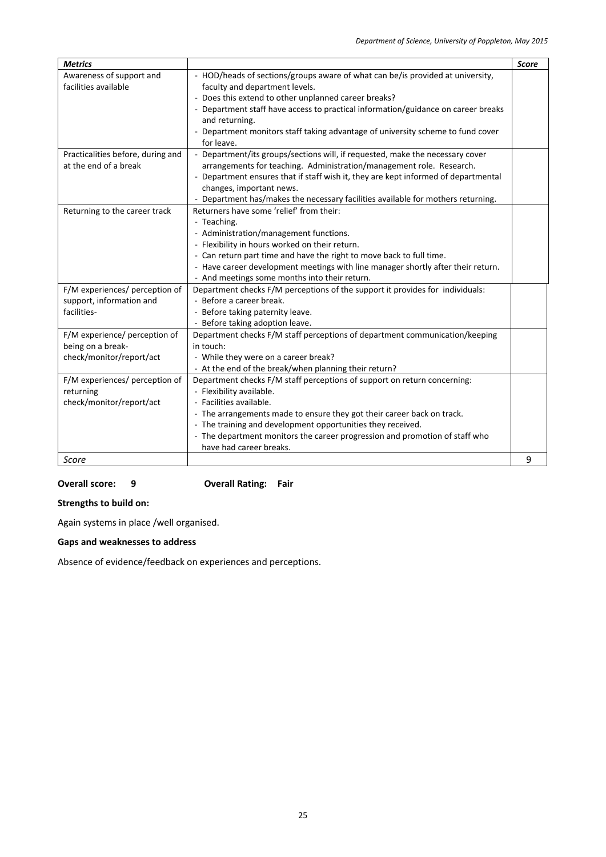| <b>Metrics</b>                    |                                                                                    | <b>Score</b> |
|-----------------------------------|------------------------------------------------------------------------------------|--------------|
| Awareness of support and          | - HOD/heads of sections/groups aware of what can be/is provided at university,     |              |
| facilities available              | faculty and department levels.                                                     |              |
|                                   | - Does this extend to other unplanned career breaks?                               |              |
|                                   | - Department staff have access to practical information/guidance on career breaks  |              |
|                                   | and returning.                                                                     |              |
|                                   | - Department monitors staff taking advantage of university scheme to fund cover    |              |
|                                   | for leave.                                                                         |              |
| Practicalities before, during and | - Department/its groups/sections will, if requested, make the necessary cover      |              |
| at the end of a break             | arrangements for teaching. Administration/management role. Research.               |              |
|                                   | - Department ensures that if staff wish it, they are kept informed of departmental |              |
|                                   | changes, important news.                                                           |              |
|                                   | - Department has/makes the necessary facilities available for mothers returning.   |              |
| Returning to the career track     | Returners have some 'relief' from their:                                           |              |
|                                   | - Teaching.                                                                        |              |
|                                   | - Administration/management functions.                                             |              |
|                                   | - Flexibility in hours worked on their return.                                     |              |
|                                   | - Can return part time and have the right to move back to full time.               |              |
|                                   | - Have career development meetings with line manager shortly after their return.   |              |
|                                   | - And meetings some months into their return.                                      |              |
| F/M experiences/ perception of    | Department checks F/M perceptions of the support it provides for individuals:      |              |
| support, information and          | - Before a career break.                                                           |              |
| facilities-                       | - Before taking paternity leave.                                                   |              |
|                                   | - Before taking adoption leave.                                                    |              |
| F/M experience/ perception of     | Department checks F/M staff perceptions of department communication/keeping        |              |
| being on a break-                 | in touch:                                                                          |              |
| check/monitor/report/act          | - While they were on a career break?                                               |              |
|                                   | - At the end of the break/when planning their return?                              |              |
| F/M experiences/ perception of    | Department checks F/M staff perceptions of support on return concerning:           |              |
| returning                         | - Flexibility available.                                                           |              |
| check/monitor/report/act          | - Facilities available.                                                            |              |
|                                   | - The arrangements made to ensure they got their career back on track.             |              |
|                                   | - The training and development opportunities they received.                        |              |
|                                   | - The department monitors the career progression and promotion of staff who        |              |
|                                   | have had career breaks.                                                            |              |
| Score                             |                                                                                    | 9            |

**Overall score: 9 Overall Rating: Fair**

**Strengths to build on:**

Again systems in place /well organised.

## **Gaps and weaknesses to address**

Absence of evidence/feedback on experiences and perceptions.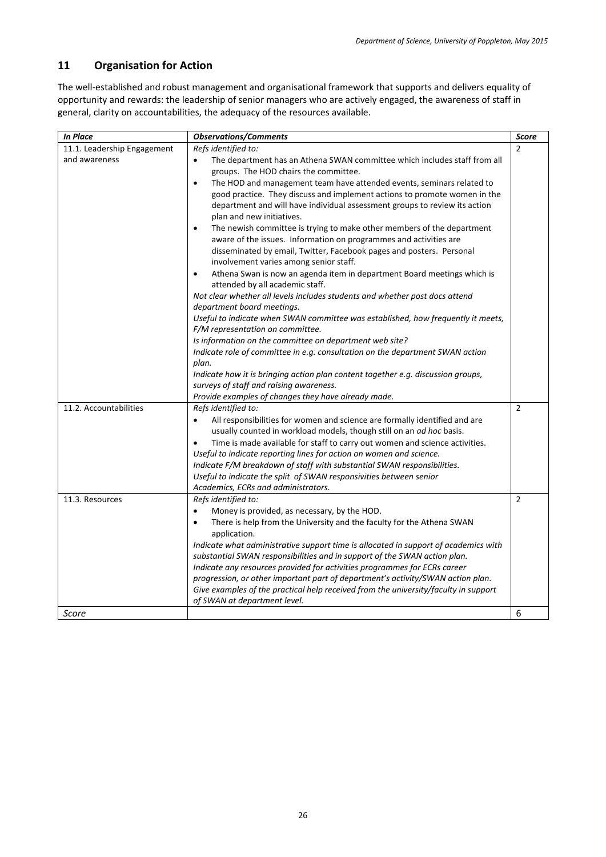## <span id="page-25-0"></span>**11 Organisation for Action**

The well-established and robust management and organisational framework that supports and delivers equality of opportunity and rewards: the leadership of senior managers who are actively engaged, the awareness of staff in general, clarity on accountabilities, the adequacy of the resources available.

| <b>In Place</b>             | <b>Observations/Comments</b>                                                                                            | Score          |
|-----------------------------|-------------------------------------------------------------------------------------------------------------------------|----------------|
| 11.1. Leadership Engagement | Refs identified to:                                                                                                     | 2              |
| and awareness               | The department has an Athena SWAN committee which includes staff from all                                               |                |
|                             | groups. The HOD chairs the committee.                                                                                   |                |
|                             | The HOD and management team have attended events, seminars related to<br>$\bullet$                                      |                |
|                             | good practice. They discuss and implement actions to promote women in the                                               |                |
|                             | department and will have individual assessment groups to review its action<br>plan and new initiatives.                 |                |
|                             | The newish committee is trying to make other members of the department<br>$\bullet$                                     |                |
|                             | aware of the issues. Information on programmes and activities are                                                       |                |
|                             | disseminated by email, Twitter, Facebook pages and posters. Personal                                                    |                |
|                             | involvement varies among senior staff.                                                                                  |                |
|                             | Athena Swan is now an agenda item in department Board meetings which is<br>$\bullet$<br>attended by all academic staff. |                |
|                             | Not clear whether all levels includes students and whether post docs attend<br>department board meetings.               |                |
|                             | Useful to indicate when SWAN committee was established, how frequently it meets,                                        |                |
|                             | F/M representation on committee.                                                                                        |                |
|                             | Is information on the committee on department web site?                                                                 |                |
|                             | Indicate role of committee in e.g. consultation on the department SWAN action                                           |                |
|                             | plan.                                                                                                                   |                |
|                             | Indicate how it is bringing action plan content together e.g. discussion groups,                                        |                |
|                             | surveys of staff and raising awareness.                                                                                 |                |
|                             | Provide examples of changes they have already made.                                                                     |                |
| 11.2. Accountabilities      | Refs identified to:                                                                                                     | $\overline{2}$ |
|                             | $\bullet$<br>All responsibilities for women and science are formally identified and are                                 |                |
|                             | usually counted in workload models, though still on an <i>ad hoc</i> basis.                                             |                |
|                             | Time is made available for staff to carry out women and science activities.                                             |                |
|                             | Useful to indicate reporting lines for action on women and science.                                                     |                |
|                             | Indicate F/M breakdown of staff with substantial SWAN responsibilities.                                                 |                |
|                             | Useful to indicate the split of SWAN responsivities between senior                                                      |                |
|                             | Academics, ECRs and administrators.                                                                                     |                |
| 11.3. Resources             | Refs identified to:                                                                                                     | $\overline{2}$ |
|                             | Money is provided, as necessary, by the HOD.<br>$\bullet$                                                               |                |
|                             | There is help from the University and the faculty for the Athena SWAN<br>$\bullet$                                      |                |
|                             | application.<br>Indicate what administrative support time is allocated in support of academics with                     |                |
|                             | substantial SWAN responsibilities and in support of the SWAN action plan.                                               |                |
|                             | Indicate any resources provided for activities programmes for ECRs career                                               |                |
|                             | progression, or other important part of department's activity/SWAN action plan.                                         |                |
|                             | Give examples of the practical help received from the university/faculty in support                                     |                |
|                             | of SWAN at department level.                                                                                            |                |
| Score                       |                                                                                                                         | 6              |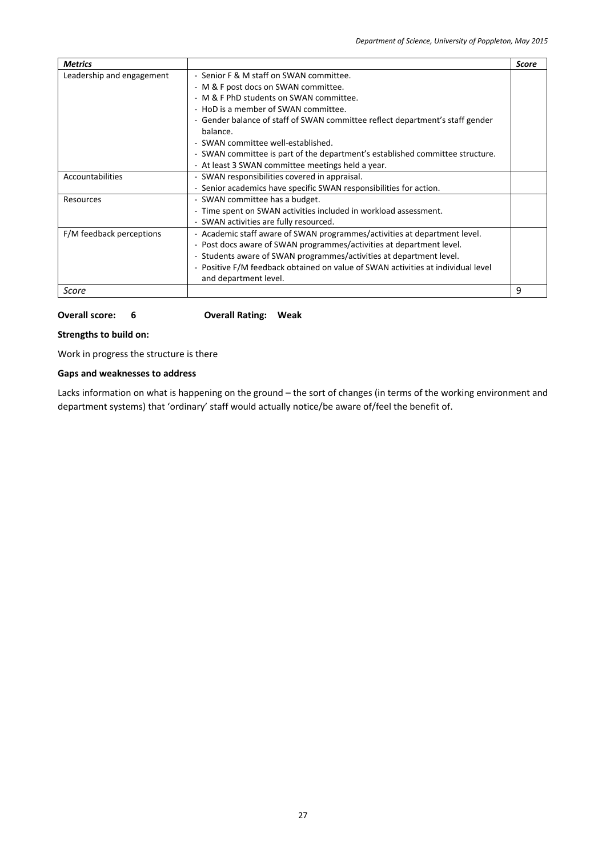| <b>Metrics</b>            |                                                                                  | Score |
|---------------------------|----------------------------------------------------------------------------------|-------|
| Leadership and engagement | - Senior F & M staff on SWAN committee.                                          |       |
|                           | - M & F post docs on SWAN committee.                                             |       |
|                           | - M & F PhD students on SWAN committee.                                          |       |
|                           | - HoD is a member of SWAN committee.                                             |       |
|                           | - Gender balance of staff of SWAN committee reflect department's staff gender    |       |
|                           | balance.                                                                         |       |
|                           | - SWAN committee well-established.                                               |       |
|                           | - SWAN committee is part of the department's established committee structure.    |       |
|                           | - At least 3 SWAN committee meetings held a year.                                |       |
| Accountabilities          | - SWAN responsibilities covered in appraisal.                                    |       |
|                           | - Senior academics have specific SWAN responsibilities for action.               |       |
| Resources                 | - SWAN committee has a budget.                                                   |       |
|                           | - Time spent on SWAN activities included in workload assessment.                 |       |
|                           | - SWAN activities are fully resourced.                                           |       |
| F/M feedback perceptions  | - Academic staff aware of SWAN programmes/activities at department level.        |       |
|                           | - Post docs aware of SWAN programmes/activities at department level.             |       |
|                           | - Students aware of SWAN programmes/activities at department level.              |       |
|                           | - Positive F/M feedback obtained on value of SWAN activities at individual level |       |
|                           | and department level.                                                            |       |
| Score                     |                                                                                  | 9     |

### **Overall score: 6 Overall Rating: Weak**

#### **Strengths to build on:**

Work in progress the structure is there

## **Gaps and weaknesses to address**

Lacks information on what is happening on the ground – the sort of changes (in terms of the working environment and department systems) that 'ordinary' staff would actually notice/be aware of/feel the benefit of.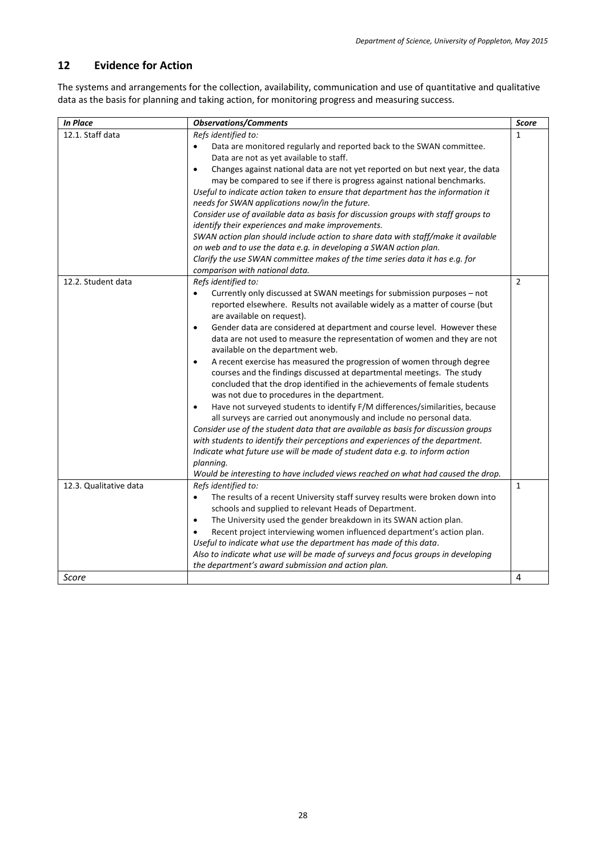## <span id="page-27-0"></span>**12 Evidence for Action**

The systems and arrangements for the collection, availability, communication and use of quantitative and qualitative data as the basis for planning and taking action, for monitoring progress and measuring success.

| <b>In Place</b>        | <b>Observations/Comments</b>                                                                                                                                                                                                                                                                                                                                                                                                                                                                                                                                                                                                                                                                                                                                                                                                                                                                                                                                                                                                                                                                                                                                                                                                                                   | <b>Score</b>   |
|------------------------|----------------------------------------------------------------------------------------------------------------------------------------------------------------------------------------------------------------------------------------------------------------------------------------------------------------------------------------------------------------------------------------------------------------------------------------------------------------------------------------------------------------------------------------------------------------------------------------------------------------------------------------------------------------------------------------------------------------------------------------------------------------------------------------------------------------------------------------------------------------------------------------------------------------------------------------------------------------------------------------------------------------------------------------------------------------------------------------------------------------------------------------------------------------------------------------------------------------------------------------------------------------|----------------|
| 12.1. Staff data       | Refs identified to:<br>Data are monitored regularly and reported back to the SWAN committee.<br>$\bullet$<br>Data are not as yet available to staff.<br>Changes against national data are not yet reported on but next year, the data<br>$\bullet$<br>may be compared to see if there is progress against national benchmarks.<br>Useful to indicate action taken to ensure that department has the information it<br>needs for SWAN applications now/in the future.<br>Consider use of available data as basis for discussion groups with staff groups to<br>identify their experiences and make improvements.<br>SWAN action plan should include action to share data with staff/make it available<br>on web and to use the data e.g. in developing a SWAN action plan.<br>Clarify the use SWAN committee makes of the time series data it has e.g. for<br>comparison with national data.                                                                                                                                                                                                                                                                                                                                                                    | $\mathbf{1}$   |
| 12.2. Student data     | Refs identified to:<br>Currently only discussed at SWAN meetings for submission purposes - not<br>$\bullet$<br>reported elsewhere. Results not available widely as a matter of course (but<br>are available on request).<br>Gender data are considered at department and course level. However these<br>$\bullet$<br>data are not used to measure the representation of women and they are not<br>available on the department web.<br>A recent exercise has measured the progression of women through degree<br>$\bullet$<br>courses and the findings discussed at departmental meetings. The study<br>concluded that the drop identified in the achievements of female students<br>was not due to procedures in the department.<br>Have not surveyed students to identify F/M differences/similarities, because<br>$\bullet$<br>all surveys are carried out anonymously and include no personal data.<br>Consider use of the student data that are available as basis for discussion groups<br>with students to identify their perceptions and experiences of the department.<br>Indicate what future use will be made of student data e.g. to inform action<br>planning.<br>Would be interesting to have included views reached on what had caused the drop. | $\overline{2}$ |
| 12.3. Qualitative data | Refs identified to:<br>The results of a recent University staff survey results were broken down into<br>schools and supplied to relevant Heads of Department.<br>The University used the gender breakdown in its SWAN action plan.<br>$\bullet$<br>Recent project interviewing women influenced department's action plan.<br>Useful to indicate what use the department has made of this data.<br>Also to indicate what use will be made of surveys and focus groups in developing<br>the department's award submission and action plan.                                                                                                                                                                                                                                                                                                                                                                                                                                                                                                                                                                                                                                                                                                                       | $\mathbf{1}$   |
| Score                  |                                                                                                                                                                                                                                                                                                                                                                                                                                                                                                                                                                                                                                                                                                                                                                                                                                                                                                                                                                                                                                                                                                                                                                                                                                                                | 4              |